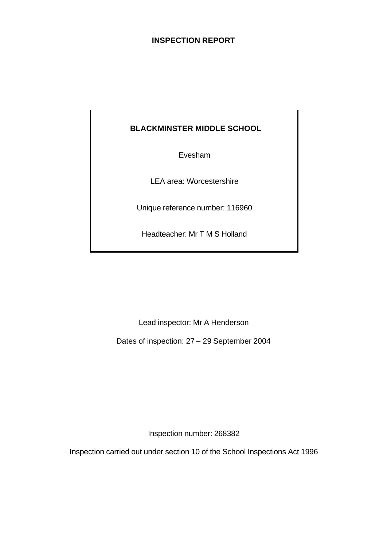## **INSPECTION REPORT**

## **BLACKMINSTER MIDDLE SCHOOL**

Evesham

LEA area: Worcestershire

Unique reference number: 116960

Headteacher: Mr T M S Holland

Lead inspector: Mr A Henderson

Dates of inspection: 27 – 29 September 2004

Inspection number: 268382

Inspection carried out under section 10 of the School Inspections Act 1996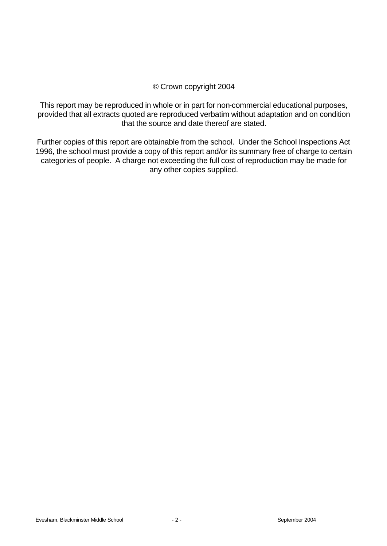## © Crown copyright 2004

This report may be reproduced in whole or in part for non-commercial educational purposes, provided that all extracts quoted are reproduced verbatim without adaptation and on condition that the source and date thereof are stated.

Further copies of this report are obtainable from the school. Under the School Inspections Act 1996, the school must provide a copy of this report and/or its summary free of charge to certain categories of people. A charge not exceeding the full cost of reproduction may be made for any other copies supplied.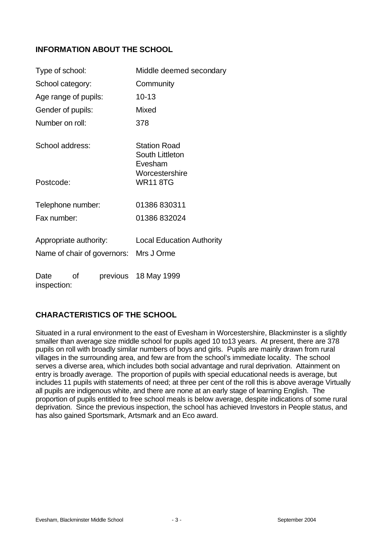## **INFORMATION ABOUT THE SCHOOL**

| Type of school:             | Middle deemed secondary                                             |  |  |  |  |
|-----------------------------|---------------------------------------------------------------------|--|--|--|--|
| School category:            | Community                                                           |  |  |  |  |
| Age range of pupils:        | $10 - 13$                                                           |  |  |  |  |
| Gender of pupils:           | Mixed                                                               |  |  |  |  |
| Number on roll:             | 378                                                                 |  |  |  |  |
| School address:             | <b>Station Road</b><br>South Littleton<br>Evesham<br>Worcestershire |  |  |  |  |
| Postcode:                   | <b>WR11 8TG</b>                                                     |  |  |  |  |
| Telephone number:           | 01386 830311                                                        |  |  |  |  |
| Fax number:                 | 01386832024                                                         |  |  |  |  |
| Appropriate authority:      | <b>Local Education Authority</b>                                    |  |  |  |  |
| Name of chair of governors: | Mrs J Orme                                                          |  |  |  |  |
| οf<br>Date<br>inspection:   | previous 18 May 1999                                                |  |  |  |  |

## **CHARACTERISTICS OF THE SCHOOL**

Situated in a rural environment to the east of Evesham in Worcestershire, Blackminster is a slightly smaller than average size middle school for pupils aged 10 to13 years. At present, there are 378 pupils on roll with broadly similar numbers of boys and girls. Pupils are mainly drawn from rural villages in the surrounding area, and few are from the school's immediate locality. The school serves a diverse area, which includes both social advantage and rural deprivation. Attainment on entry is broadly average. The proportion of pupils with special educational needs is average, but includes 11 pupils with statements of need; at three per cent of the roll this is above average Virtually all pupils are indigenous white, and there are none at an early stage of learning English. The proportion of pupils entitled to free school meals is below average, despite indications of some rural deprivation. Since the previous inspection, the school has achieved Investors in People status, and has also gained Sportsmark, Artsmark and an Eco award.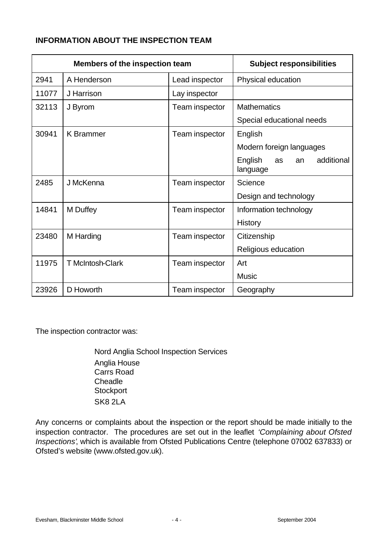## **INFORMATION ABOUT THE INSPECTION TEAM**

| <b>Members of the inspection team</b> |                         | <b>Subject responsibilities</b> |                                               |
|---------------------------------------|-------------------------|---------------------------------|-----------------------------------------------|
| 2941                                  | A Henderson             | Lead inspector                  | Physical education                            |
| 11077                                 | J Harrison              | Lay inspector                   |                                               |
| 32113                                 | J Byrom                 | Team inspector                  | <b>Mathematics</b>                            |
|                                       |                         |                                 | Special educational needs                     |
| 30941                                 | <b>K</b> Brammer        | Team inspector                  | English                                       |
|                                       |                         |                                 | Modern foreign languages                      |
|                                       |                         |                                 | English<br>additional<br>as<br>an<br>language |
| 2485                                  | J McKenna               | Team inspector                  | Science                                       |
|                                       |                         |                                 | Design and technology                         |
| 14841                                 | M Duffey                | Team inspector                  | Information technology                        |
|                                       |                         |                                 | <b>History</b>                                |
| 23480                                 | M Harding               | Team inspector                  | Citizenship                                   |
|                                       |                         |                                 | Religious education                           |
| 11975                                 | <b>T</b> McIntosh-Clark | Team inspector                  | Art                                           |
|                                       |                         |                                 | Music                                         |
| 23926                                 | D Howorth               | Team inspector                  | Geography                                     |

The inspection contractor was:

Nord Anglia School Inspection Services Anglia House Carrs Road **Cheadle Stockport** SK8 2LA

Any concerns or complaints about the inspection or the report should be made initially to the inspection contractor. The procedures are set out in the leaflet *'Complaining about Ofsted Inspections'*, which is available from Ofsted Publications Centre (telephone 07002 637833) or Ofsted's website (www.ofsted.gov.uk).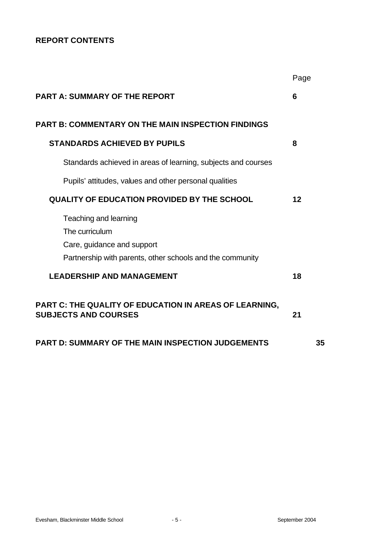## **REPORT CONTENTS**

|                                                                                              | Page |
|----------------------------------------------------------------------------------------------|------|
| <b>PART A: SUMMARY OF THE REPORT</b>                                                         | 6    |
| <b>PART B: COMMENTARY ON THE MAIN INSPECTION FINDINGS</b>                                    |      |
| <b>STANDARDS ACHIEVED BY PUPILS</b>                                                          | 8    |
| Standards achieved in areas of learning, subjects and courses                                |      |
| Pupils' attitudes, values and other personal qualities                                       |      |
| <b>QUALITY OF EDUCATION PROVIDED BY THE SCHOOL</b>                                           | 12   |
| Teaching and learning                                                                        |      |
| The curriculum                                                                               |      |
| Care, guidance and support                                                                   |      |
| Partnership with parents, other schools and the community                                    |      |
| <b>LEADERSHIP AND MANAGEMENT</b>                                                             | 18   |
| <b>PART C: THE QUALITY OF EDUCATION IN AREAS OF LEARNING,</b><br><b>SUBJECTS AND COURSES</b> | 21   |
| <b>PART D: SUMMARY OF THE MAIN INSPECTION JUDGEMENTS</b>                                     | 35   |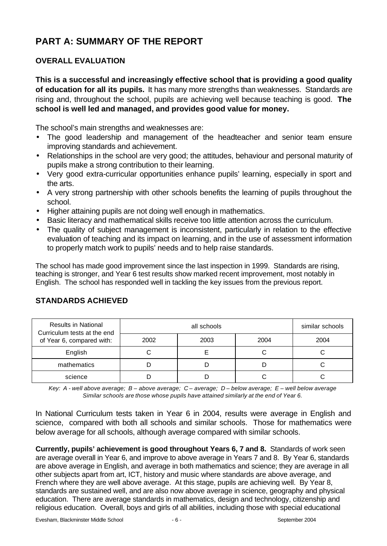# **PART A: SUMMARY OF THE REPORT**

## **OVERALL EVALUATION**

**This is a successful and increasingly effective school that is providing a good quality of education for all its pupils.** It has many more strengths than weaknesses. Standards are rising and, throughout the school, pupils are achieving well because teaching is good. **The school is well led and managed, and provides good value for money.**

The school's main strengths and weaknesses are:

- The good leadership and management of the headteacher and senior team ensure improving standards and achievement.
- Relationships in the school are very good; the attitudes, behaviour and personal maturity of pupils make a strong contribution to their learning.
- Very good extra-curricular opportunities enhance pupils' learning, especially in sport and the arts.
- A very strong partnership with other schools benefits the learning of pupils throughout the school.
- Higher attaining pupils are not doing well enough in mathematics.
- Basic literacy and mathematical skills receive too little attention across the curriculum.
- The quality of subject management is inconsistent, particularly in relation to the effective evaluation of teaching and its impact on learning, and in the use of assessment information to properly match work to pupils' needs and to help raise standards.

The school has made good improvement since the last inspection in 1999. Standards are rising, teaching is stronger, and Year 6 test results show marked recent improvement, most notably in English. The school has responded well in tackling the key issues from the previous report.

| <b>Results in National</b><br>Curriculum tests at the end |      | similar schools |      |      |
|-----------------------------------------------------------|------|-----------------|------|------|
| of Year 6, compared with:                                 | 2002 | 2003            | 2004 | 2004 |
| English                                                   |      |                 |      |      |
| mathematics                                               |      |                 |      |      |
| science                                                   |      |                 |      |      |

## **STANDARDS ACHIEVED**

*Key: A - well above average; B – above average; C – average; D – below average; E – well below average Similar schools are those whose pupils have attained similarly at the end of Year 6.*

In National Curriculum tests taken in Year 6 in 2004, results were average in English and science, compared with both all schools and similar schools. Those for mathematics were below average for all schools, although average compared with similar schools.

**Currently, pupils' achievement is good throughout Years 6, 7 and 8.** Standards of work seen are average overall in Year 6, and improve to above average in Years 7 and 8. By Year 6, standards are above average in English, and average in both mathematics and science; they are average in all other subjects apart from art, ICT, history and music where standards are above average, and French where they are well above average. At this stage, pupils are achieving well. By Year 8, standards are sustained well, and are also now above average in science, geography and physical education. There are average standards in mathematics, design and technology, citizenship and religious education. Overall, boys and girls of all abilities, including those with special educational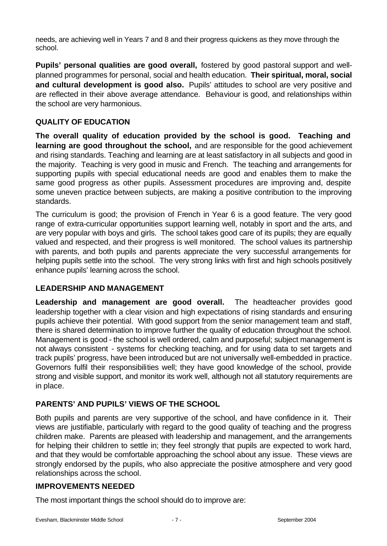needs, are achieving well in Years 7 and 8 and their progress quickens as they move through the school.

**Pupils' personal qualities are good overall,** fostered by good pastoral support and wellplanned programmes for personal, social and health education. **Their spiritual, moral, social and cultural development is good also.** Pupils' attitudes to school are very positive and are reflected in their above average attendance. Behaviour is good, and relationships within the school are very harmonious.

## **QUALITY OF EDUCATION**

**The overall quality of education provided by the school is good. Teaching and learning are good throughout the school,** and are responsible for the good achievement and rising standards. Teaching and learning are at least satisfactory in all subjects and good in the majority. Teaching is very good in music and French. The teaching and arrangements for supporting pupils with special educational needs are good and enables them to make the same good progress as other pupils. Assessment procedures are improving and, despite some uneven practice between subjects, are making a positive contribution to the improving standards.

The curriculum is good; the provision of French in Year 6 is a good feature. The very good range of extra-curricular opportunities support learning well, notably in sport and the arts, and are very popular with boys and girls. The school takes good care of its pupils; they are equally valued and respected, and their progress is well monitored. The school values its partnership with parents, and both pupils and parents appreciate the very successful arrangements for helping pupils settle into the school. The very strong links with first and high schools positively enhance pupils' learning across the school.

## **LEADERSHIP AND MANAGEMENT**

**Leadership and management are good overall.** The headteacher provides good leadership together with a clear vision and high expectations of rising standards and ensuring pupils achieve their potential. With good support from the senior management team and staff, there is shared determination to improve further the quality of education throughout the school. Management is good - the school is well ordered, calm and purposeful; subject management is not always consistent - systems for checking teaching, and for using data to set targets and track pupils' progress, have been introduced but are not universally well-embedded in practice. Governors fulfil their responsibilities well; they have good knowledge of the school, provide strong and visible support, and monitor its work well, although not all statutory requirements are in place.

## **PARENTS' AND PUPILS' VIEWS OF THE SCHOOL**

Both pupils and parents are very supportive of the school, and have confidence in it. Their views are justifiable, particularly with regard to the good quality of teaching and the progress children make. Parents are pleased with leadership and management, and the arrangements for helping their children to settle in; they feel strongly that pupils are expected to work hard, and that they would be comfortable approaching the school about any issue. These views are strongly endorsed by the pupils, who also appreciate the positive atmosphere and very good relationships across the school.

## **IMPROVEMENTS NEEDED**

The most important things the school should do to improve are: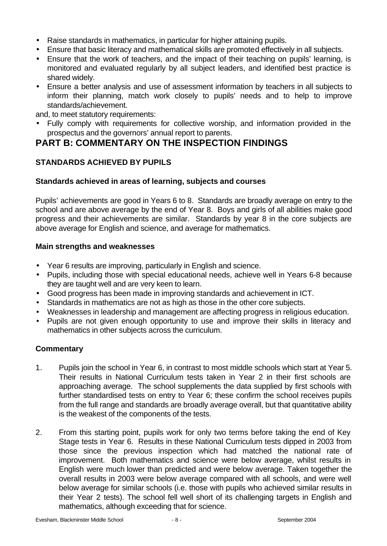- Raise standards in mathematics, in particular for higher attaining pupils.
- Ensure that basic literacy and mathematical skills are promoted effectively in all subjects.
- Ensure that the work of teachers, and the impact of their teaching on pupils' learning, is monitored and evaluated regularly by all subject leaders, and identified best practice is shared widely.
- Ensure a better analysis and use of assessment information by teachers in all subjects to inform their planning, match work closely to pupils' needs and to help to improve standards/achievement.

and, to meet statutory requirements:

• Fully comply with requirements for collective worship, and information provided in the prospectus and the governors' annual report to parents.

## **PART B: COMMENTARY ON THE INSPECTION FINDINGS**

## **STANDARDS ACHIEVED BY PUPILS**

## **Standards achieved in areas of learning, subjects and courses**

Pupils' achievements are good in Years 6 to 8. Standards are broadly average on entry to the school and are above average by the end of Year 8. Boys and girls of all abilities make good progress and their achievements are similar. Standards by year 8 in the core subjects are above average for English and science, and average for mathematics.

## **Main strengths and weaknesses**

- Year 6 results are improving, particularly in English and science.
- Pupils, including those with special educational needs, achieve well in Years 6-8 because they are taught well and are very keen to learn.
- Good progress has been made in improving standards and achievement in ICT.
- Standards in mathematics are not as high as those in the other core subjects.
- Weaknesses in leadership and management are affecting progress in religious education.
- Pupils are not given enough opportunity to use and improve their skills in literacy and mathematics in other subjects across the curriculum.

- 1. Pupils join the school in Year 6, in contrast to most middle schools which start at Year 5. Their results in National Curriculum tests taken in Year 2 in their first schools are approaching average. The school supplements the data supplied by first schools with further standardised tests on entry to Year 6; these confirm the school receives pupils from the full range and standards are broadly average overall, but that quantitative ability is the weakest of the components of the tests.
- 2. From this starting point, pupils work for only two terms before taking the end of Key Stage tests in Year 6. Results in these National Curriculum tests dipped in 2003 from those since the previous inspection which had matched the national rate of improvement. Both mathematics and science were below average, whilst results in English were much lower than predicted and were below average. Taken together the overall results in 2003 were below average compared with all schools, and were well below average for similar schools (i.e. those with pupils who achieved similar results in their Year 2 tests). The school fell well short of its challenging targets in English and mathematics, although exceeding that for science.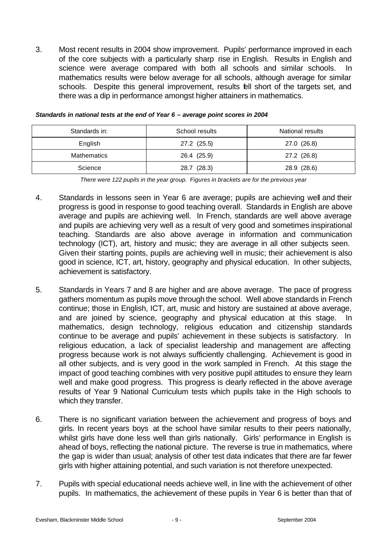3. Most recent results in 2004 show improvement. Pupils' performance improved in each of the core subjects with a particularly sharp rise in English. Results in English and science were average compared with both all schools and similar schools. In mathematics results were below average for all schools, although average for similar schools. Despite this general improvement, results fell short of the targets set, and there was a dip in performance amongst higher attainers in mathematics.

| Standards in: | School results | National results |
|---------------|----------------|------------------|
| English       | 27.2 (25.5)    | 27.0 (26.8)      |
| Mathematics   | 26.4 (25.9)    | 27.2 (26.8)      |
| Science       | 28.7 (28.3)    | 28.9 (28.6)      |

*Standards in national tests at the end of Year 6 – average point scores in 2004*

*There were 122 pupils in the year group. Figures in brackets are for the previous year*

- 4. Standards in lessons seen in Year 6 are average; pupils are achieving well and their progress is good in response to good teaching overall. Standards in English are above average and pupils are achieving well. In French, standards are well above average and pupils are achieving very well as a result of very good and sometimes inspirational teaching. Standards are also above average in information and communication technology (ICT), art, history and music; they are average in all other subjects seen. Given their starting points, pupils are achieving well in music; their achievement is also good in science, ICT, art, history, geography and physical education. In other subjects, achievement is satisfactory.
- 5. Standards in Years 7 and 8 are higher and are above average. The pace of progress gathers momentum as pupils move through the school. Well above standards in French continue; those in English, ICT, art, music and history are sustained at above average, and are joined by science, geography and physical education at this stage. In mathematics, design technology, religious education and citizenship standards continue to be average and pupils' achievement in these subjects is satisfactory. In religious education, a lack of specialist leadership and management are affecting progress because work is not always sufficiently challenging. Achievement is good in all other subjects, and is very good in the work sampled in French. At this stage the impact of good teaching combines with very positive pupil attitudes to ensure they learn well and make good progress. This progress is clearly reflected in the above average results of Year 9 National Curriculum tests which pupils take in the High schools to which they transfer.
- 6. There is no significant variation between the achievement and progress of boys and girls. In recent years boys at the school have similar results to their peers nationally, whilst girls have done less well than girls nationally. Girls' performance in English is ahead of boys, reflecting the national picture. The reverse is true in mathematics, where the gap is wider than usual; analysis of other test data indicates that there are far fewer girls with higher attaining potential, and such variation is not therefore unexpected.
- 7. Pupils with special educational needs achieve well, in line with the achievement of other pupils. In mathematics, the achievement of these pupils in Year 6 is better than that of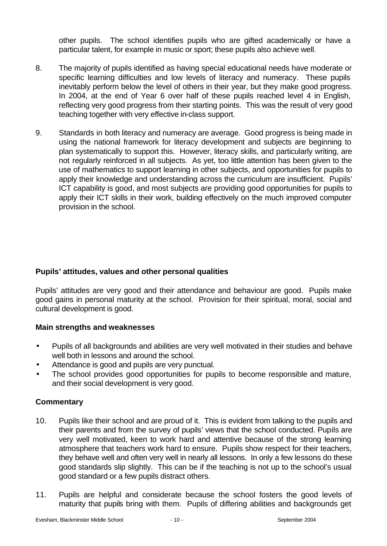other pupils. The school identifies pupils who are gifted academically or have a particular talent, for example in music or sport; these pupils also achieve well.

- 8. The majority of pupils identified as having special educational needs have moderate or specific learning difficulties and low levels of literacy and numeracy. These pupils inevitably perform below the level of others in their year, but they make good progress. In 2004, at the end of Year 6 over half of these pupils reached level 4 in English, reflecting very good progress from their starting points. This was the result of very good teaching together with very effective in-class support.
- 9. Standards in both literacy and numeracy are average. Good progress is being made in using the national framework for literacy development and subjects are beginning to plan systematically to support this. However, literacy skills, and particularly writing, are not regularly reinforced in all subjects. As yet, too little attention has been given to the use of mathematics to support learning in other subjects, and opportunities for pupils to apply their knowledge and understanding across the curriculum are insufficient. Pupils' ICT capability is good, and most subjects are providing good opportunities for pupils to apply their ICT skills in their work, building effectively on the much improved computer provision in the school.

## **Pupils' attitudes, values and other personal qualities**

Pupils' attitudes are very good and their attendance and behaviour are good. Pupils make good gains in personal maturity at the school. Provision for their spiritual, moral, social and cultural development is good.

## **Main strengths and weaknesses**

- Pupils of all backgrounds and abilities are very well motivated in their studies and behave well both in lessons and around the school.
- Attendance is good and pupils are very punctual.
- The school provides good opportunities for pupils to become responsible and mature, and their social development is very good.

- 10. Pupils like their school and are proud of it. This is evident from talking to the pupils and their parents and from the survey of pupils' views that the school conducted. Pupils are very well motivated, keen to work hard and attentive because of the strong learning atmosphere that teachers work hard to ensure. Pupils show respect for their teachers, they behave well and often very well in nearly all lessons. In only a few lessons do these good standards slip slightly. This can be if the teaching is not up to the school's usual good standard or a few pupils distract others.
- 11. Pupils are helpful and considerate because the school fosters the good levels of maturity that pupils bring with them. Pupils of differing abilities and backgrounds get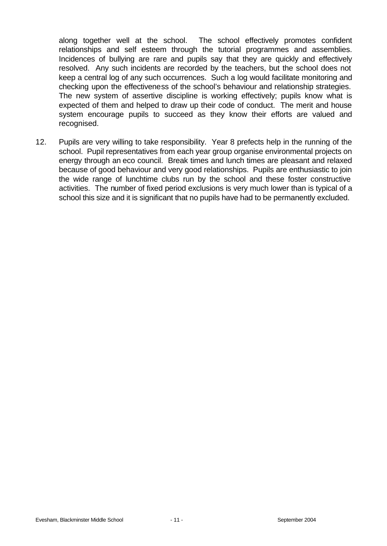along together well at the school. The school effectively promotes confident relationships and self esteem through the tutorial programmes and assemblies. Incidences of bullying are rare and pupils say that they are quickly and effectively resolved. Any such incidents are recorded by the teachers, but the school does not keep a central log of any such occurrences. Such a log would facilitate monitoring and checking upon the effectiveness of the school's behaviour and relationship strategies. The new system of assertive discipline is working effectively; pupils know what is expected of them and helped to draw up their code of conduct. The merit and house system encourage pupils to succeed as they know their efforts are valued and recognised.

12. Pupils are very willing to take responsibility. Year 8 prefects help in the running of the school. Pupil representatives from each year group organise environmental projects on energy through an eco council. Break times and lunch times are pleasant and relaxed because of good behaviour and very good relationships. Pupils are enthusiastic to join the wide range of lunchtime clubs run by the school and these foster constructive activities. The number of fixed period exclusions is very much lower than is typical of a school this size and it is significant that no pupils have had to be permanently excluded.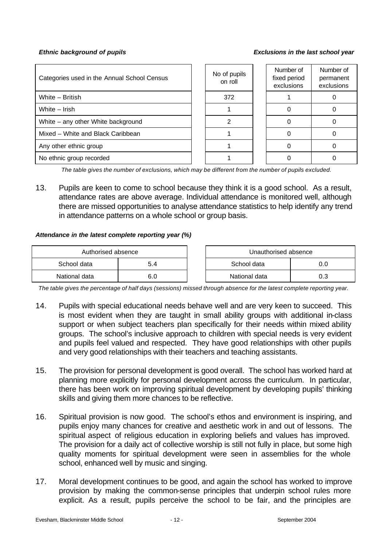*Ethnic background of pupils Exclusions in the last school year*

| Categories used in the Annual School Census | No of pupils<br>on roll | Number of<br>fixed period<br>exclusions | Number of<br>permanent<br>exclusions |
|---------------------------------------------|-------------------------|-----------------------------------------|--------------------------------------|
| White - British                             | 372                     |                                         |                                      |
| White - Irish                               |                         |                                         |                                      |
| White – any other White background          |                         |                                         |                                      |
| Mixed - White and Black Caribbean           |                         |                                         |                                      |
| Any other ethnic group                      |                         |                                         |                                      |
| No ethnic group recorded                    |                         |                                         |                                      |

*The table gives the number of exclusions, which may be different from the number of pupils excluded.*

13. Pupils are keen to come to school because they think it is a good school. As a result, attendance rates are above average. Individual attendance is monitored well, although there are missed opportunities to analyse attendance statistics to help identify any trend in attendance patterns on a whole school or group basis.

#### *Attendance in the latest complete reporting year (%)*

| Authorised absence |     | Unauthorised absence |     |
|--------------------|-----|----------------------|-----|
| School data        | 5.4 | School data          | U.O |
| National data      | 6.0 | National data        |     |

*The table gives the percentage of half days (sessions) missed through absence for the latest complete reporting year.*

- 14. Pupils with special educational needs behave well and are very keen to succeed. This is most evident when they are taught in small ability groups with additional in-class support or when subject teachers plan specifically for their needs within mixed ability groups. The school's inclusive approach to children with special needs is very evident and pupils feel valued and respected. They have good relationships with other pupils and very good relationships with their teachers and teaching assistants.
- 15. The provision for personal development is good overall. The school has worked hard at planning more explicitly for personal development across the curriculum. In particular, there has been work on improving spiritual development by developing pupils' thinking skills and giving them more chances to be reflective.
- 16. Spiritual provision is now good. The school's ethos and environment is inspiring, and pupils enjoy many chances for creative and aesthetic work in and out of lessons. The spiritual aspect of religious education in exploring beliefs and values has improved. The provision for a daily act of collective worship is still not fully in place, but some high quality moments for spiritual development were seen in assemblies for the whole school, enhanced well by music and singing.
- 17. Moral development continues to be good, and again the school has worked to improve provision by making the common-sense principles that underpin school rules more explicit. As a result, pupils perceive the school to be fair, and the principles are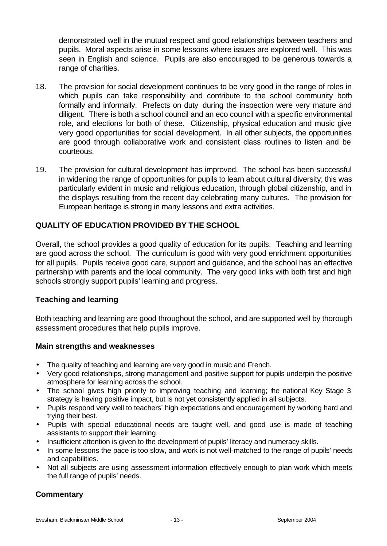demonstrated well in the mutual respect and good relationships between teachers and pupils. Moral aspects arise in some lessons where issues are explored well. This was seen in English and science. Pupils are also encouraged to be generous towards a range of charities.

- 18. The provision for social development continues to be very good in the range of roles in which pupils can take responsibility and contribute to the school community both formally and informally. Prefects on duty during the inspection were very mature and diligent. There is both a school council and an eco council with a specific environmental role, and elections for both of these. Citizenship, physical education and music give very good opportunities for social development. In all other subjects, the opportunities are good through collaborative work and consistent class routines to listen and be courteous.
- 19. The provision for cultural development has improved. The school has been successful in widening the range of opportunities for pupils to learn about cultural diversity; this was particularly evident in music and religious education, through global citizenship, and in the displays resulting from the recent day celebrating many cultures. The provision for European heritage is strong in many lessons and extra activities.

## **QUALITY OF EDUCATION PROVIDED BY THE SCHOOL**

Overall, the school provides a good quality of education for its pupils. Teaching and learning are good across the school. The curriculum is good with very good enrichment opportunities for all pupils. Pupils receive good care, support and guidance, and the school has an effective partnership with parents and the local community. The very good links with both first and high schools strongly support pupils' learning and progress.

#### **Teaching and learning**

Both teaching and learning are good throughout the school, and are supported well by thorough assessment procedures that help pupils improve.

#### **Main strengths and weaknesses**

- The quality of teaching and learning are very good in music and French.
- Very good relationships, strong management and positive support for pupils underpin the positive atmosphere for learning across the school.
- The school gives high priority to improving teaching and learning; the national Key Stage 3 strategy is having positive impact, but is not yet consistently applied in all subjects.
- Pupils respond very well to teachers' high expectations and encouragement by working hard and trying their best.
- Pupils with special educational needs are taught well, and good use is made of teaching assistants to support their learning.
- Insufficient attention is given to the development of pupils' literacy and numeracy skills.
- In some lessons the pace is too slow, and work is not well-matched to the range of pupils' needs and capabilities.
- Not all subjects are using assessment information effectively enough to plan work which meets the full range of pupils' needs.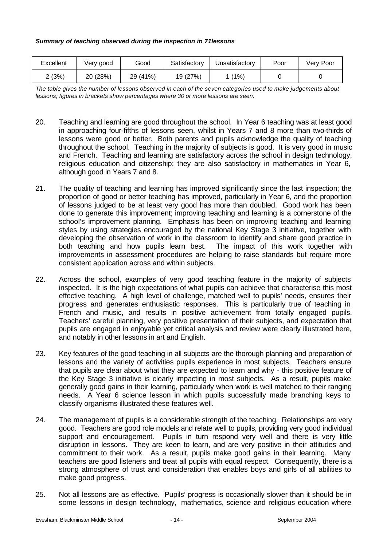| Excellent | Verv good | Good        | Satisfactory | Unsatisfactory | Poor | Verv Poor |
|-----------|-----------|-------------|--------------|----------------|------|-----------|
| (3%)      | 20 (28%)  | (41%)<br>29 | 19 (27%)     | $(1\%)$        |      |           |

*The table gives the number of lessons observed in each of the seven categories used to make judgements about lessons; figures in brackets show percentages where 30 or more lessons are seen.*

- 20. Teaching and learning are good throughout the school. In Year 6 teaching was at least good in approaching four-fifths of lessons seen, whilst in Years 7 and 8 more than two-thirds of lessons were good or better. Both parents and pupils acknowledge the quality of teaching throughout the school. Teaching in the majority of subjects is good. It is very good in music and French. Teaching and learning are satisfactory across the school in design technology, religious education and citizenship; they are also satisfactory in mathematics in Year 6, although good in Years 7 and 8.
- 21. The quality of teaching and learning has improved significantly since the last inspection; the proportion of good or better teaching has improved, particularly in Year 6, and the proportion of lessons judged to be at least very good has more than doubled. Good work has been done to generate this improvement; improving teaching and learning is a cornerstone of the school's improvement planning. Emphasis has been on improving teaching and learning styles by using strategies encouraged by the national Key Stage 3 initiative, together with developing the observation of work in the classroom to identify and share good practice in both teaching and how pupils learn best. The impact of this work together with improvements in assessment procedures are helping to raise standards but require more consistent application across and within subjects.
- 22. Across the school, examples of very good teaching feature in the majority of subjects inspected. It is the high expectations of what pupils can achieve that characterise this most effective teaching. A high level of challenge, matched well to pupils' needs, ensures their progress and generates enthusiastic responses. This is particularly true of teaching in French and music, and results in positive achievement from totally engaged pupils. Teachers' careful planning, very positive presentation of their subjects, and expectation that pupils are engaged in enjoyable yet critical analysis and review were clearly illustrated here, and notably in other lessons in art and English.
- 23. Key features of the good teaching in all subjects are the thorough planning and preparation of lessons and the variety of activities pupils experience in most subjects. Teachers ensure that pupils are clear about what they are expected to learn and why - this positive feature of the Key Stage 3 initiative is clearly impacting in most subjects. As a result, pupils make generally good gains in their learning, particularly when work is well matched to their ranging needs. A Year 6 science lesson in which pupils successfully made branching keys to classify organisms illustrated these features well.
- 24. The management of pupils is a considerable strength of the teaching. Relationships are very good. Teachers are good role models and relate well to pupils, providing very good individual support and encouragement. Pupils in turn respond very well and there is very little disruption in lessons. They are keen to learn, and are very positive in their attitudes and commitment to their work. As a result, pupils make good gains in their learning. Many teachers are good listeners and treat all pupils with equal respect. Consequently, there is a strong atmosphere of trust and consideration that enables boys and girls of all abilities to make good progress.
- 25. Not all lessons are as effective. Pupils' progress is occasionally slower than it should be in some lessons in design technology, mathematics, science and religious education where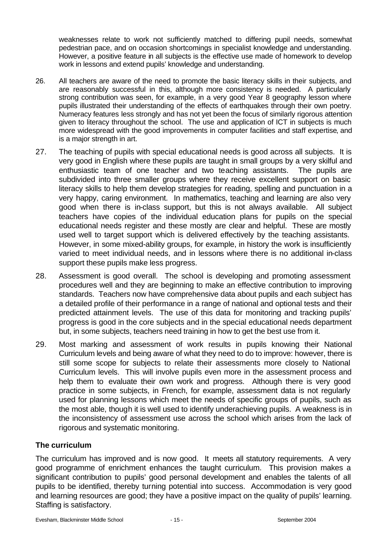weaknesses relate to work not sufficiently matched to differing pupil needs, somewhat pedestrian pace, and on occasion shortcomings in specialist knowledge and understanding. However, a positive feature in all subjects is the effective use made of homework to develop work in lessons and extend pupils' knowledge and understanding.

- 26. All teachers are aware of the need to promote the basic literacy skills in their subjects, and are reasonably successful in this, although more consistency is needed. A particularly strong contribution was seen, for example, in a very good Year 8 geography lesson where pupils illustrated their understanding of the effects of earthquakes through their own poetry. Numeracy features less strongly and has not yet been the focus of similarly rigorous attention given to literacy throughout the school. The use and application of ICT in subjects is much more widespread with the good improvements in computer facilities and staff expertise, and is a major strength in art.
- 27. The teaching of pupils with special educational needs is good across all subjects. It is very good in English where these pupils are taught in small groups by a very skilful and enthusiastic team of one teacher and two teaching assistants. The pupils are subdivided into three smaller groups where they receive excellent support on basic literacy skills to help them develop strategies for reading, spelling and punctuation in a very happy, caring environment. In mathematics, teaching and learning are also very good when there is in-class support, but this is not always available. All subject teachers have copies of the individual education plans for pupils on the special educational needs register and these mostly are clear and helpful. These are mostly used well to target support which is delivered effectively by the teaching assistants. However, in some mixed-ability groups, for example, in history the work is insufficiently varied to meet individual needs, and in lessons where there is no additional in-class support these pupils make less progress.
- 28. Assessment is good overall. The school is developing and promoting assessment procedures well and they are beginning to make an effective contribution to improving standards. Teachers now have comprehensive data about pupils and each subject has a detailed profile of their performance in a range of national and optional tests and their predicted attainment levels. The use of this data for monitoring and tracking pupils' progress is good in the core subjects and in the special educational needs department but, in some subjects, teachers need training in how to get the best use from it.
- 29. Most marking and assessment of work results in pupils knowing their National Curriculum levels and being aware of what they need to do to improve: however, there is still some scope for subjects to relate their assessments more closely to National Curriculum levels. This will involve pupils even more in the assessment process and help them to evaluate their own work and progress. Although there is very good practice in some subjects, in French, for example, assessment data is not regularly used for planning lessons which meet the needs of specific groups of pupils, such as the most able, though it is well used to identify underachieving pupils. A weakness is in the inconsistency of assessment use across the school which arises from the lack of rigorous and systematic monitoring.

## **The curriculum**

The curriculum has improved and is now good. It meets all statutory requirements. A very good programme of enrichment enhances the taught curriculum. This provision makes a significant contribution to pupils' good personal development and enables the talents of all pupils to be identified, thereby turning potential into success. Accommodation is very good and learning resources are good; they have a positive impact on the quality of pupils' learning. Staffing is satisfactory.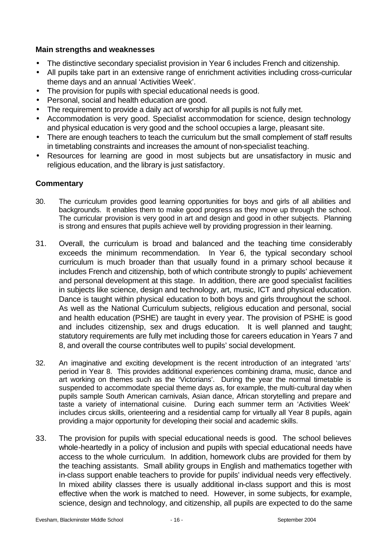## **Main strengths and weaknesses**

- The distinctive secondary specialist provision in Year 6 includes French and citizenship.
- All pupils take part in an extensive range of enrichment activities including cross-curricular theme days and an annual 'Activities Week'.
- The provision for pupils with special educational needs is good.
- Personal, social and health education are good.
- The requirement to provide a daily act of worship for all pupils is not fully met.
- Accommodation is very good. Specialist accommodation for science, design technology and physical education is very good and the school occupies a large, pleasant site.
- There are enough teachers to teach the curriculum but the small complement of staff results in timetabling constraints and increases the amount of non-specialist teaching.
- Resources for learning are good in most subjects but are unsatisfactory in music and religious education, and the library is just satisfactory.

- 30. The curriculum provides good learning opportunities for boys and girls of all abilities and backgrounds. It enables them to make good progress as they move up through the school. The curricular provision is very good in art and design and good in other subjects. Planning is strong and ensures that pupils achieve well by providing progression in their learning.
- 31. Overall, the curriculum is broad and balanced and the teaching time considerably exceeds the minimum recommendation. In Year 6, the typical secondary school curriculum is much broader than that usually found in a primary school because it includes French and citizenship, both of which contribute strongly to pupils' achievement and personal development at this stage. In addition, there are good specialist facilities in subjects like science, design and technology, art, music, ICT and physical education. Dance is taught within physical education to both boys and girls throughout the school. As well as the National Curriculum subjects, religious education and personal, social and health education (PSHE) are taught in every year. The provision of PSHE is good and includes citizenship, sex and drugs education. It is well planned and taught; statutory requirements are fully met including those for careers education in Years 7 and 8, and overall the course contributes well to pupils' social development.
- 32. An imaginative and exciting development is the recent introduction of an integrated 'arts' period in Year 8. This provides additional experiences combining drama, music, dance and art working on themes such as the 'Victorians'. During the year the normal timetable is suspended to accommodate special theme days as, for example, the multi-cultural day when pupils sample South American carnivals, Asian dance, African storytelling and prepare and taste a variety of international cuisine. During each summer term an 'Activities Week' includes circus skills, orienteering and a residential camp for virtually all Year 8 pupils, again providing a major opportunity for developing their social and academic skills.
- 33. The provision for pupils with special educational needs is good. The school believes whole-heartedly in a policy of inclusion and pupils with special educational needs have access to the whole curriculum. In addition, homework clubs are provided for them by the teaching assistants. Small ability groups in English and mathematics together with in-class support enable teachers to provide for pupils' individual needs very effectively. In mixed ability classes there is usually additional in-class support and this is most effective when the work is matched to need. However, in some subjects, for example, science, design and technology, and citizenship, all pupils are expected to do the same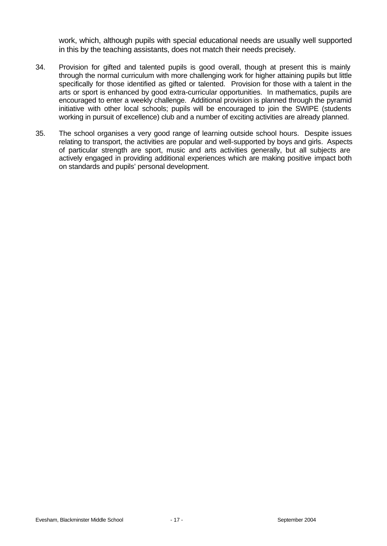work, which, although pupils with special educational needs are usually well supported in this by the teaching assistants, does not match their needs precisely.

- 34. Provision for gifted and talented pupils is good overall, though at present this is mainly through the normal curriculum with more challenging work for higher attaining pupils but little specifically for those identified as gifted or talented. Provision for those with a talent in the arts or sport is enhanced by good extra-curricular opportunities. In mathematics, pupils are encouraged to enter a weekly challenge. Additional provision is planned through the pyramid initiative with other local schools; pupils will be encouraged to join the SWIPE (students working in pursuit of excellence) club and a number of exciting activities are already planned.
- 35. The school organises a very good range of learning outside school hours. Despite issues relating to transport, the activities are popular and well-supported by boys and girls. Aspects of particular strength are sport, music and arts activities generally, but all subjects are actively engaged in providing additional experiences which are making positive impact both on standards and pupils' personal development.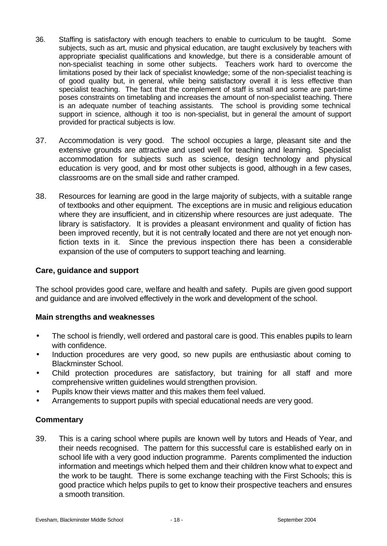- 36. Staffing is satisfactory with enough teachers to enable to curriculum to be taught. Some subjects, such as art, music and physical education, are taught exclusively by teachers with appropriate specialist qualifications and knowledge, but there is a considerable amount of non-specialist teaching in some other subjects. Teachers work hard to overcome the limitations posed by their lack of specialist knowledge; some of the non-specialist teaching is of good quality but, in general, while being satisfactory overall it is less effective than specialist teaching. The fact that the complement of staff is small and some are part-time poses constraints on timetabling and increases the amount of non-specialist teaching. There is an adequate number of teaching assistants. The school is providing some technical support in science, although it too is non-specialist, but in general the amount of support provided for practical subjects is low.
- 37. Accommodation is very good. The school occupies a large, pleasant site and the extensive grounds are attractive and used well for teaching and learning. Specialist accommodation for subjects such as science, design technology and physical education is very good, and for most other subjects is good, although in a few cases, classrooms are on the small side and rather cramped.
- 38. Resources for learning are good in the large majority of subjects, with a suitable range of textbooks and other equipment. The exceptions are in music and religious education where they are insufficient, and in citizenship where resources are just adequate. The library is satisfactory. It is provides a pleasant environment and quality of fiction has been improved recently, but it is not centrally located and there are not yet enough nonfiction texts in it. Since the previous inspection there has been a considerable expansion of the use of computers to support teaching and learning.

#### **Care, guidance and support**

The school provides good care, welfare and health and safety. Pupils are given good support and guidance and are involved effectively in the work and development of the school.

#### **Main strengths and weaknesses**

- The school is friendly, well ordered and pastoral care is good. This enables pupils to learn with confidence.
- Induction procedures are very good, so new pupils are enthusiastic about coming to Blackminster School.
- Child protection procedures are satisfactory, but training for all staff and more comprehensive written guidelines would strengthen provision.
- Pupils know their views matter and this makes them feel valued.
- Arrangements to support pupils with special educational needs are very good.

#### **Commentary**

39. This is a caring school where pupils are known well by tutors and Heads of Year, and their needs recognised. The pattern for this successful care is established early on in school life with a very good induction programme. Parents complimented the induction information and meetings which helped them and their children know what to expect and the work to be taught. There is some exchange teaching with the First Schools; this is good practice which helps pupils to get to know their prospective teachers and ensures a smooth transition.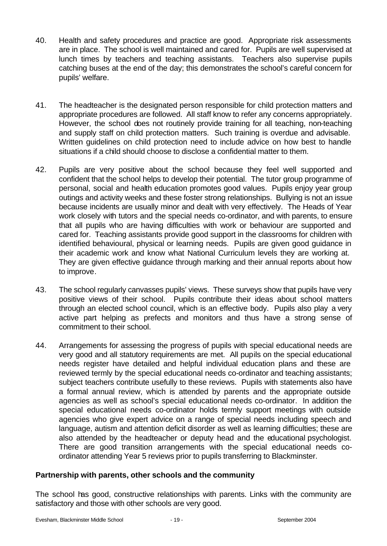- 40. Health and safety procedures and practice are good. Appropriate risk assessments are in place. The school is well maintained and cared for. Pupils are well supervised at lunch times by teachers and teaching assistants. Teachers also supervise pupils catching buses at the end of the day; this demonstrates the school's careful concern for pupils' welfare.
- 41. The headteacher is the designated person responsible for child protection matters and appropriate procedures are followed. All staff know to refer any concerns appropriately. However, the school does not routinely provide training for all teaching, non-teaching and supply staff on child protection matters. Such training is overdue and advisable. Written guidelines on child protection need to include advice on how best to handle situations if a child should choose to disclose a confidential matter to them.
- 42. Pupils are very positive about the school because they feel well supported and confident that the school helps to develop their potential. The tutor group programme of personal, social and health education promotes good values. Pupils enjoy year group outings and activity weeks and these foster strong relationships. Bullying is not an issue because incidents are usually minor and dealt with very effectively. The Heads of Year work closely with tutors and the special needs co-ordinator, and with parents, to ensure that all pupils who are having difficulties with work or behaviour are supported and cared for. Teaching assistants provide good support in the classrooms for children with identified behavioural, physical or learning needs. Pupils are given good guidance in their academic work and know what National Curriculum levels they are working at. They are given effective guidance through marking and their annual reports about how to improve.
- 43. The school regularly canvasses pupils' views. These surveys show that pupils have very positive views of their school. Pupils contribute their ideas about school matters through an elected school council, which is an effective body. Pupils also play a very active part helping as prefects and monitors and thus have a strong sense of commitment to their school.
- 44. Arrangements for assessing the progress of pupils with special educational needs are very good and all statutory requirements are met. All pupils on the special educational needs register have detailed and helpful individual education plans and these are reviewed termly by the special educational needs co-ordinator and teaching assistants; subject teachers contribute usefully to these reviews. Pupils with statements also have a formal annual review, which is attended by parents and the appropriate outside agencies as well as school's special educational needs co-ordinator. In addition the special educational needs co-ordinator holds termly support meetings with outside agencies who give expert advice on a range of special needs including speech and language, autism and attention deficit disorder as well as learning difficulties; these are also attended by the headteacher or deputy head and the educational psychologist. There are good transition arrangements with the special educational needs coordinator attending Year 5 reviews prior to pupils transferring to Blackminster.

## **Partnership with parents, other schools and the community**

The school has good, constructive relationships with parents. Links with the community are satisfactory and those with other schools are very good.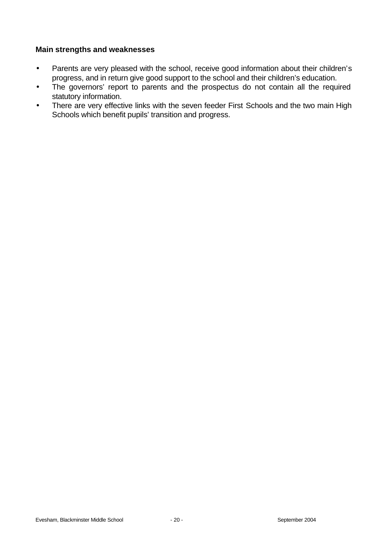#### **Main strengths and weaknesses**

- Parents are very pleased with the school, receive good information about their children's progress, and in return give good support to the school and their children's education.
- The governors' report to parents and the prospectus do not contain all the required statutory information.
- There are very effective links with the seven feeder First Schools and the two main High Schools which benefit pupils' transition and progress.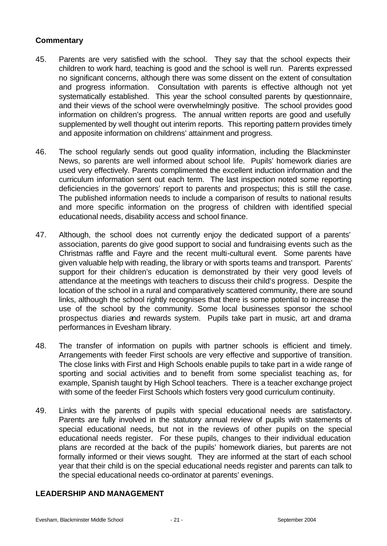## **Commentary**

- 45. Parents are very satisfied with the school. They say that the school expects their children to work hard, teaching is good and the school is well run. Parents expressed no significant concerns, although there was some dissent on the extent of consultation and progress information. Consultation with parents is effective although not yet systematically established. This year the school consulted parents by questionnaire, and their views of the school were overwhelmingly positive. The school provides good information on children's progress. The annual written reports are good and usefully supplemented by well thought out interim reports. This reporting pattern provides timely and apposite information on childrens' attainment and progress.
- 46. The school regularly sends out good quality information, including the Blackminster News, so parents are well informed about school life. Pupils' homework diaries are used very effectively. Parents complimented the excellent induction information and the curriculum information sent out each term. The last inspection noted some reporting deficiencies in the governors' report to parents and prospectus; this is still the case. The published information needs to include a comparison of results to national results and more specific information on the progress of children with identified special educational needs, disability access and school finance.
- 47. Although, the school does not currently enjoy the dedicated support of a parents' association, parents do give good support to social and fundraising events such as the Christmas raffle and Fayre and the recent multi-cultural event. Some parents have given valuable help with reading, the library or with sports teams and transport. Parents' support for their children's education is demonstrated by their very good levels of attendance at the meetings with teachers to discuss their child's progress. Despite the location of the school in a rural and comparatively scattered community, there are sound links, although the school rightly recognises that there is some potential to increase the use of the school by the community. Some local businesses sponsor the school prospectus diaries and rewards system. Pupils take part in music, art and drama performances in Evesham library.
- 48. The transfer of information on pupils with partner schools is efficient and timely. Arrangements with feeder First schools are very effective and supportive of transition. The close links with First and High Schools enable pupils to take part in a wide range of sporting and social activities and to benefit from some specialist teaching as, for example, Spanish taught by High School teachers. There is a teacher exchange project with some of the feeder First Schools which fosters very good curriculum continuity.
- 49. Links with the parents of pupils with special educational needs are satisfactory. Parents are fully involved in the statutory annual review of pupils with statements of special educational needs, but not in the reviews of other pupils on the special educational needs register. For these pupils, changes to their individual education plans are recorded at the back of the pupils' homework diaries, but parents are not formally informed or their views sought. They are informed at the start of each school year that their child is on the special educational needs register and parents can talk to the special educational needs co-ordinator at parents' evenings.

#### **LEADERSHIP AND MANAGEMENT**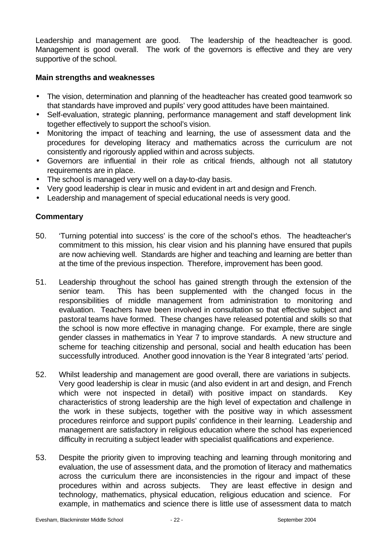Leadership and management are good. The leadership of the headteacher is good. Management is good overall. The work of the governors is effective and they are very supportive of the school.

## **Main strengths and weaknesses**

- The vision, determination and planning of the headteacher has created good teamwork so that standards have improved and pupils' very good attitudes have been maintained.
- Self-evaluation, strategic planning, performance management and staff development link together effectively to support the school's vision.
- Monitoring the impact of teaching and learning, the use of assessment data and the procedures for developing literacy and mathematics across the curriculum are not consistently and rigorously applied within and across subjects.
- Governors are influential in their role as critical friends, although not all statutory requirements are in place.
- The school is managed very well on a day-to-day basis.
- Very good leadership is clear in music and evident in art and design and French.
- Leadership and management of special educational needs is very good.

- 50. 'Turning potential into success' is the core of the school's ethos. The headteacher's commitment to this mission, his clear vision and his planning have ensured that pupils are now achieving well. Standards are higher and teaching and learning are better than at the time of the previous inspection. Therefore, improvement has been good.
- 51. Leadership throughout the school has gained strength through the extension of the senior team. This has been supplemented with the changed focus in the responsibilities of middle management from administration to monitoring and evaluation. Teachers have been involved in consultation so that effective subject and pastoral teams have formed. These changes have released potential and skills so that the school is now more effective in managing change. For example, there are single gender classes in mathematics in Year 7 to improve standards. A new structure and scheme for teaching citizenship and personal, social and health education has been successfully introduced. Another good innovation is the Year 8 integrated 'arts' period.
- 52. Whilst leadership and management are good overall, there are variations in subjects. Very good leadership is clear in music (and also evident in art and design, and French which were not inspected in detail) with positive impact on standards. Key characteristics of strong leadership are the high level of expectation and challenge in the work in these subjects, together with the positive way in which assessment procedures reinforce and support pupils' confidence in their learning. Leadership and management are satisfactory in religious education where the school has experienced difficulty in recruiting a subject leader with specialist qualifications and experience.
- 53. Despite the priority given to improving teaching and learning through monitoring and evaluation, the use of assessment data, and the promotion of literacy and mathematics across the curriculum there are inconsistencies in the rigour and impact of these procedures within and across subjects. They are least effective in design and technology, mathematics, physical education, religious education and science. For example, in mathematics and science there is little use of assessment data to match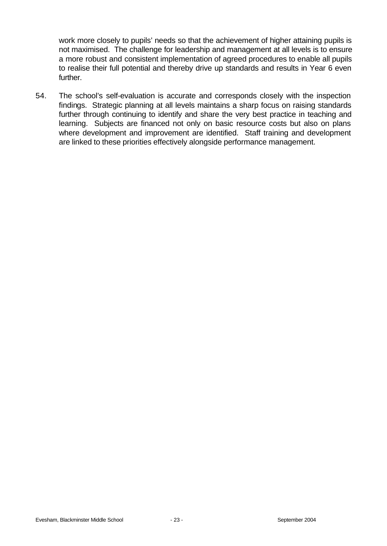work more closely to pupils' needs so that the achievement of higher attaining pupils is not maximised. The challenge for leadership and management at all levels is to ensure a more robust and consistent implementation of agreed procedures to enable all pupils to realise their full potential and thereby drive up standards and results in Year 6 even further.

54. The school's self-evaluation is accurate and corresponds closely with the inspection findings. Strategic planning at all levels maintains a sharp focus on raising standards further through continuing to identify and share the very best practice in teaching and learning. Subjects are financed not only on basic resource costs but also on plans where development and improvement are identified. Staff training and development are linked to these priorities effectively alongside performance management.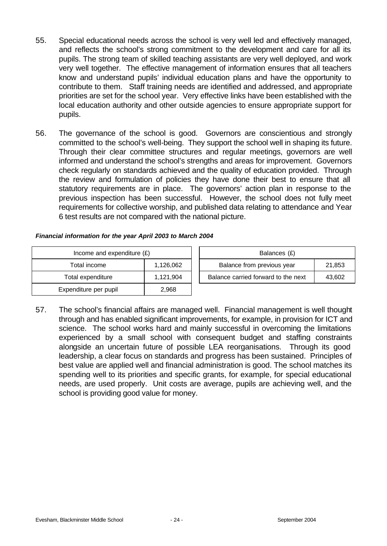- 55. Special educational needs across the school is very well led and effectively managed, and reflects the school's strong commitment to the development and care for all its pupils. The strong team of skilled teaching assistants are very well deployed, and work very well together. The effective management of information ensures that all teachers know and understand pupils' individual education plans and have the opportunity to contribute to them. Staff training needs are identified and addressed, and appropriate priorities are set for the school year. Very effective links have been established with the local education authority and other outside agencies to ensure appropriate support for pupils.
- 56. The governance of the school is good. Governors are conscientious and strongly committed to the school's well-being. They support the school well in shaping its future. Through their clear committee structures and regular meetings, governors are well informed and understand the school's strengths and areas for improvement. Governors check regularly on standards achieved and the quality of education provided. Through the review and formulation of policies they have done their best to ensure that all statutory requirements are in place. The governors' action plan in response to the previous inspection has been successful. However, the school does not fully meet requirements for collective worship, and published data relating to attendance and Year 6 test results are not compared with the national picture.

| Income and expenditure $(E)$ |           |  | Balances (£)                   |
|------------------------------|-----------|--|--------------------------------|
| Total income                 | 1,126,062 |  | Balance from previous year     |
| Total expenditure            | 1,121,904 |  | Balance carried forward to the |
| Expenditure per pupil        | 2.968     |  |                                |

| Income and expenditure $(E)$ |           | Balances (£)                        |        |  |  |  |
|------------------------------|-----------|-------------------------------------|--------|--|--|--|
| Total income                 | 1,126,062 | Balance from previous year          | 21,853 |  |  |  |
| Total expenditure            | 1.121.904 | Balance carried forward to the next | 43,602 |  |  |  |

57. The school's financial affairs are managed well. Financial management is well thought through and has enabled significant improvements, for example, in provision for ICT and science. The school works hard and mainly successful in overcoming the limitations experienced by a small school with consequent budget and staffing constraints alongside an uncertain future of possible LEA reorganisations. Through its good leadership, a clear focus on standards and progress has been sustained. Principles of best value are applied well and financial administration is good. The school matches its spending well to its priorities and specific grants, for example, for special educational needs, are used properly. Unit costs are average, pupils are achieving well, and the school is providing good value for money.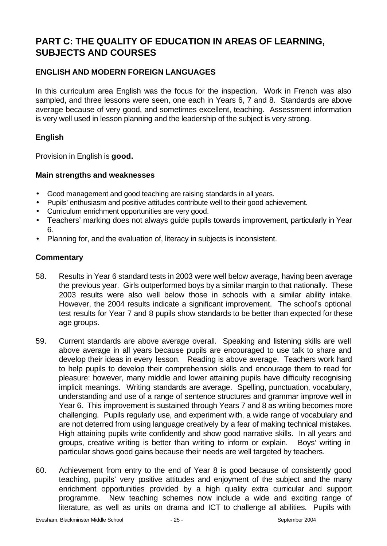# **PART C: THE QUALITY OF EDUCATION IN AREAS OF LEARNING, SUBJECTS AND COURSES**

## **ENGLISH AND MODERN FOREIGN LANGUAGES**

In this curriculum area English was the focus for the inspection. Work in French was also sampled, and three lessons were seen, one each in Years 6, 7 and 8. Standards are above average because of very good, and sometimes excellent, teaching. Assessment information is very well used in lesson planning and the leadership of the subject is very strong.

## **English**

Provision in English is **good.**

#### **Main strengths and weaknesses**

- Good management and good teaching are raising standards in all years.
- Pupils' enthusiasm and positive attitudes contribute well to their good achievement.
- Curriculum enrichment opportunities are very good.
- Teachers' marking does not always guide pupils towards improvement, particularly in Year 6.
- Planning for, and the evaluation of, literacy in subjects is inconsistent.

- 58. Results in Year 6 standard tests in 2003 were well below average, having been average the previous year. Girls outperformed boys by a similar margin to that nationally. These 2003 results were also well below those in schools with a similar ability intake. However, the 2004 results indicate a significant improvement. The school's optional test results for Year 7 and 8 pupils show standards to be better than expected for these age groups.
- 59. Current standards are above average overall. Speaking and listening skills are well above average in all years because pupils are encouraged to use talk to share and develop their ideas in every lesson. Reading is above average. Teachers work hard to help pupils to develop their comprehension skills and encourage them to read for pleasure: however, many middle and lower attaining pupils have difficulty recognising implicit meanings. Writing standards are average. Spelling, punctuation, vocabulary, understanding and use of a range of sentence structures and grammar improve well in Year 6. This improvement is sustained through Years 7 and 8 as writing becomes more challenging. Pupils regularly use, and experiment with, a wide range of vocabulary and are not deterred from using language creatively by a fear of making technical mistakes. High attaining pupils write confidently and show good narrative skills. In all years and groups, creative writing is better than writing to inform or explain. Boys' writing in particular shows good gains because their needs are well targeted by teachers.
- 60. Achievement from entry to the end of Year 8 is good because of consistently good teaching, pupils' very positive attitudes and enjoyment of the subject and the many enrichment opportunities provided by a high quality extra curricular and support programme. New teaching schemes now include a wide and exciting range of literature, as well as units on drama and ICT to challenge all abilities. Pupils with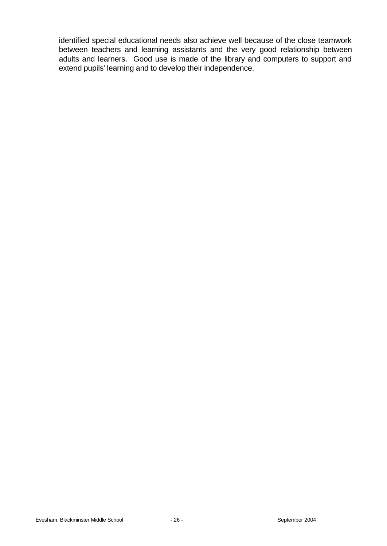identified special educational needs also achieve well because of the close teamwork between teachers and learning assistants and the very good relationship between adults and learners. Good use is made of the library and computers to support and extend pupils' learning and to develop their independence.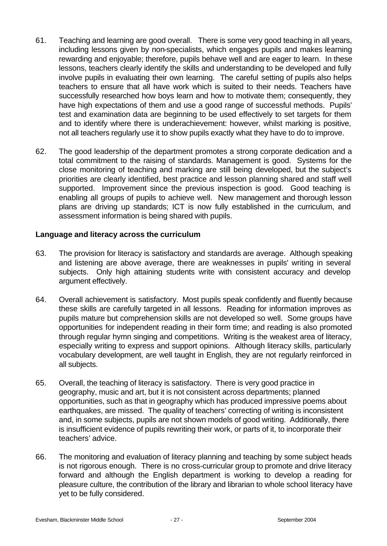- 61. Teaching and learning are good overall. There is some very good teaching in all years, including lessons given by non-specialists, which engages pupils and makes learning rewarding and enjoyable; therefore, pupils behave well and are eager to learn. In these lessons, teachers clearly identify the skills and understanding to be developed and fully involve pupils in evaluating their own learning. The careful setting of pupils also helps teachers to ensure that all have work which is suited to their needs. Teachers have successfully researched how boys learn and how to motivate them; consequently, they have high expectations of them and use a good range of successful methods. Pupils' test and examination data are beginning to be used effectively to set targets for them and to identify where there is underachievement: however, whilst marking is positive, not all teachers regularly use it to show pupils exactly what they have to do to improve.
- 62. The good leadership of the department promotes a strong corporate dedication and a total commitment to the raising of standards. Management is good. Systems for the close monitoring of teaching and marking are still being developed, but the subject's priorities are clearly identified, best practice and lesson planning shared and staff well supported. Improvement since the previous inspection is good. Good teaching is enabling all groups of pupils to achieve well. New management and thorough lesson plans are driving up standards; ICT is now fully established in the curriculum, and assessment information is being shared with pupils.

## **Language and literacy across the curriculum**

- 63. The provision for literacy is satisfactory and standards are average. Although speaking and listening are above average, there are weaknesses in pupils' writing in several subjects. Only high attaining students write with consistent accuracy and develop argument effectively.
- 64. Overall achievement is satisfactory. Most pupils speak confidently and fluently because these skills are carefully targeted in all lessons. Reading for information improves as pupils mature but comprehension skills are not developed so well. Some groups have opportunities for independent reading in their form time; and reading is also promoted through regular hymn singing and competitions. Writing is the weakest area of literacy, especially writing to express and support opinions. Although literacy skills, particularly vocabulary development, are well taught in English, they are not regularly reinforced in all subjects.
- 65. Overall, the teaching of literacy is satisfactory. There is very good practice in geography, music and art, but it is not consistent across departments; planned opportunities, such as that in geography which has produced impressive poems about earthquakes, are missed. The quality of teachers' correcting of writing is inconsistent and, in some subjects, pupils are not shown models of good writing. Additionally, there is insufficient evidence of pupils rewriting their work, or parts of it, to incorporate their teachers' advice.
- 66. The monitoring and evaluation of literacy planning and teaching by some subject heads is not rigorous enough. There is no cross-curricular group to promote and drive literacy forward and although the English department is working to develop a reading for pleasure culture, the contribution of the library and librarian to whole school literacy have yet to be fully considered.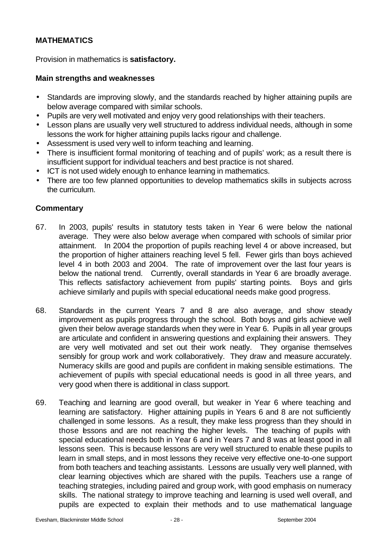## **MATHEMATICS**

Provision in mathematics is **satisfactory.**

#### **Main strengths and weaknesses**

- Standards are improving slowly, and the standards reached by higher attaining pupils are below average compared with similar schools.
- Pupils are very well motivated and enjoy very good relationships with their teachers.
- Lesson plans are usually very well structured to address individual needs, although in some lessons the work for higher attaining pupils lacks rigour and challenge.
- Assessment is used very well to inform teaching and learning.
- There is insufficient formal monitoring of teaching and of pupils' work; as a result there is insufficient support for individual teachers and best practice is not shared.
- ICT is not used widely enough to enhance learning in mathematics.
- There are too few planned opportunities to develop mathematics skills in subjects across the curriculum.

- 67. In 2003, pupils' results in statutory tests taken in Year 6 were below the national average. They were also below average when compared with schools of similar prior attainment. In 2004 the proportion of pupils reaching level 4 or above increased, but the proportion of higher attainers reaching level 5 fell. Fewer girls than boys achieved level 4 in both 2003 and 2004. The rate of improvement over the last four years is below the national trend. Currently, overall standards in Year 6 are broadly average. This reflects satisfactory achievement from pupils' starting points. Boys and girls achieve similarly and pupils with special educational needs make good progress.
- 68. Standards in the current Years 7 and 8 are also average, and show steady improvement as pupils progress through the school. Both boys and girls achieve well given their below average standards when they were in Year 6. Pupils in all year groups are articulate and confident in answering questions and explaining their answers. They are very well motivated and set out their work neatly. They organise themselves sensibly for group work and work collaboratively. They draw and measure accurately. Numeracy skills are good and pupils are confident in making sensible estimations. The achievement of pupils with special educational needs is good in all three years, and very good when there is additional in class support.
- 69. Teaching and learning are good overall, but weaker in Year 6 where teaching and learning are satisfactory. Higher attaining pupils in Years 6 and 8 are not sufficiently challenged in some lessons. As a result, they make less progress than they should in those lessons and are not reaching the higher levels. The teaching of pupils with special educational needs both in Year 6 and in Years 7 and 8 was at least good in all lessons seen. This is because lessons are very well structured to enable these pupils to learn in small steps, and in most lessons they receive very effective one-to-one support from both teachers and teaching assistants. Lessons are usually very well planned, with clear learning objectives which are shared with the pupils. Teachers use a range of teaching strategies, including paired and group work, with good emphasis on numeracy skills. The national strategy to improve teaching and learning is used well overall, and pupils are expected to explain their methods and to use mathematical language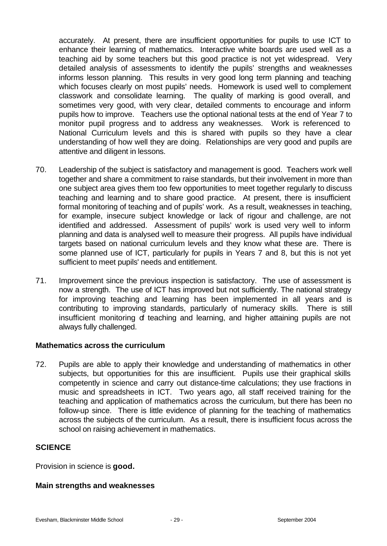accurately. At present, there are insufficient opportunities for pupils to use ICT to enhance their learning of mathematics. Interactive white boards are used well as a teaching aid by some teachers but this good practice is not yet widespread. Very detailed analysis of assessments to identify the pupils' strengths and weaknesses informs lesson planning. This results in very good long term planning and teaching which focuses clearly on most pupils' needs. Homework is used well to complement classwork and consolidate learning. The quality of marking is good overall, and sometimes very good, with very clear, detailed comments to encourage and inform pupils how to improve. Teachers use the optional national tests at the end of Year 7 to monitor pupil progress and to address any weaknesses. Work is referenced to National Curriculum levels and this is shared with pupils so they have a clear understanding of how well they are doing. Relationships are very good and pupils are attentive and diligent in lessons.

- 70. Leadership of the subject is satisfactory and management is good. Teachers work well together and share a commitment to raise standards, but their involvement in more than one subject area gives them too few opportunities to meet together regularly to discuss teaching and learning and to share good practice. At present, there is insufficient formal monitoring of teaching and of pupils' work. As a result, weaknesses in teaching, for example, insecure subject knowledge or lack of rigour and challenge, are not identified and addressed. Assessment of pupils' work is used very well to inform planning and data is analysed well to measure their progress. All pupils have individual targets based on national curriculum levels and they know what these are. There is some planned use of ICT, particularly for pupils in Years 7 and 8, but this is not yet sufficient to meet pupils' needs and entitlement.
- 71. Improvement since the previous inspection is satisfactory. The use of assessment is now a strength. The use of ICT has improved but not sufficiently. The national strategy for improving teaching and learning has been implemented in all years and is contributing to improving standards, particularly of numeracy skills. There is still insufficient monitoring of teaching and learning, and higher attaining pupils are not always fully challenged.

#### **Mathematics across the curriculum**

72. Pupils are able to apply their knowledge and understanding of mathematics in other subjects, but opportunities for this are insufficient. Pupils use their graphical skills competently in science and carry out distance-time calculations; they use fractions in music and spreadsheets in ICT. Two years ago, all staff received training for the teaching and application of mathematics across the curriculum, but there has been no follow-up since. There is little evidence of planning for the teaching of mathematics across the subjects of the curriculum. As a result, there is insufficient focus across the school on raising achievement in mathematics.

#### **SCIENCE**

Provision in science is **good.**

#### **Main strengths and weaknesses**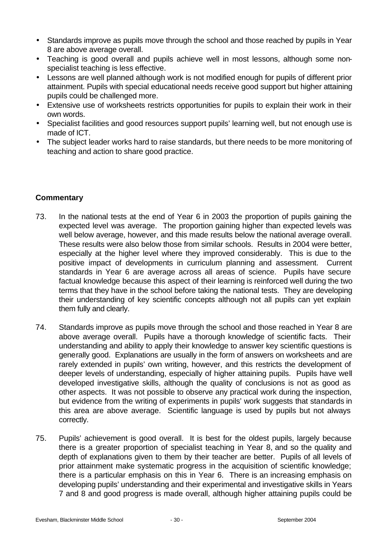- Standards improve as pupils move through the school and those reached by pupils in Year 8 are above average overall.
- Teaching is good overall and pupils achieve well in most lessons, although some nonspecialist teaching is less effective.
- Lessons are well planned although work is not modified enough for pupils of different prior attainment. Pupils with special educational needs receive good support but higher attaining pupils could be challenged more.
- Extensive use of worksheets restricts opportunities for pupils to explain their work in their own words.
- Specialist facilities and good resources support pupils' learning well, but not enough use is made of ICT.
- The subject leader works hard to raise standards, but there needs to be more monitoring of teaching and action to share good practice.

- 73. In the national tests at the end of Year 6 in 2003 the proportion of pupils gaining the expected level was average. The proportion gaining higher than expected levels was well below average, however, and this made results below the national average overall. These results were also below those from similar schools. Results in 2004 were better, especially at the higher level where they improved considerably. This is due to the positive impact of developments in curriculum planning and assessment. Current standards in Year 6 are average across all areas of science. Pupils have secure factual knowledge because this aspect of their learning is reinforced well during the two terms that they have in the school before taking the national tests. They are developing their understanding of key scientific concepts although not all pupils can yet explain them fully and clearly.
- 74. Standards improve as pupils move through the school and those reached in Year 8 are above average overall. Pupils have a thorough knowledge of scientific facts. Their understanding and ability to apply their knowledge to answer key scientific questions is generally good. Explanations are usually in the form of answers on worksheets and are rarely extended in pupils' own writing, however, and this restricts the development of deeper levels of understanding, especially of higher attaining pupils. Pupils have well developed investigative skills, although the quality of conclusions is not as good as other aspects. It was not possible to observe any practical work during the inspection, but evidence from the writing of experiments in pupils' work suggests that standards in this area are above average. Scientific language is used by pupils but not always correctly.
- 75. Pupils' achievement is good overall. It is best for the oldest pupils, largely because there is a greater proportion of specialist teaching in Year 8, and so the quality and depth of explanations given to them by their teacher are better. Pupils of all levels of prior attainment make systematic progress in the acquisition of scientific knowledge; there is a particular emphasis on this in Year 6. There is an increasing emphasis on developing pupils' understanding and their experimental and investigative skills in Years 7 and 8 and good progress is made overall, although higher attaining pupils could be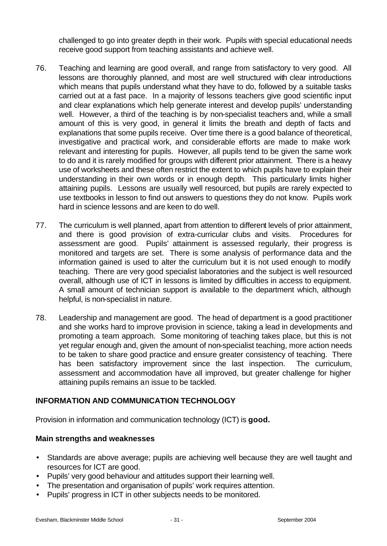challenged to go into greater depth in their work. Pupils with special educational needs receive good support from teaching assistants and achieve well.

- 76. Teaching and learning are good overall, and range from satisfactory to very good. All lessons are thoroughly planned, and most are well structured with clear introductions which means that pupils understand what they have to do, followed by a suitable tasks carried out at a fast pace. In a majority of lessons teachers give good scientific input and clear explanations which help generate interest and develop pupils' understanding well. However, a third of the teaching is by non-specialist teachers and, while a small amount of this is very good, in general it limits the breath and depth of facts and explanations that some pupils receive. Over time there is a good balance of theoretical, investigative and practical work, and considerable efforts are made to make work relevant and interesting for pupils. However, all pupils tend to be given the same work to do and it is rarely modified for groups with different prior attainment. There is a heavy use of worksheets and these often restrict the extent to which pupils have to explain their understanding in their own words or in enough depth. This particularly limits higher attaining pupils. Lessons are usually well resourced, but pupils are rarely expected to use textbooks in lesson to find out answers to questions they do not know. Pupils work hard in science lessons and are keen to do well.
- 77. The curriculum is well planned, apart from attention to different levels of prior attainment, and there is good provision of extra-curricular clubs and visits. Procedures for assessment are good. Pupils' attainment is assessed regularly, their progress is monitored and targets are set. There is some analysis of performance data and the information gained is used to alter the curriculum but it is not used enough to modify teaching. There are very good specialist laboratories and the subject is well resourced overall, although use of ICT in lessons is limited by difficulties in access to equipment. A small amount of technician support is available to the department which, although helpful, is non-specialist in nature.
- 78. Leadership and management are good. The head of department is a good practitioner and she works hard to improve provision in science, taking a lead in developments and promoting a team approach. Some monitoring of teaching takes place, but this is not yet regular enough and, given the amount of non-specialist teaching, more action needs to be taken to share good practice and ensure greater consistency of teaching. There has been satisfactory improvement since the last inspection. The curriculum, assessment and accommodation have all improved, but greater challenge for higher attaining pupils remains an issue to be tackled.

## **INFORMATION AND COMMUNICATION TECHNOLOGY**

Provision in information and communication technology (ICT) is **good.**

## **Main strengths and weaknesses**

- Standards are above average; pupils are achieving well because they are well taught and resources for ICT are good.
- Pupils' very good behaviour and attitudes support their learning well.
- The presentation and organisation of pupils' work requires attention.
- Pupils' progress in ICT in other subjects needs to be monitored.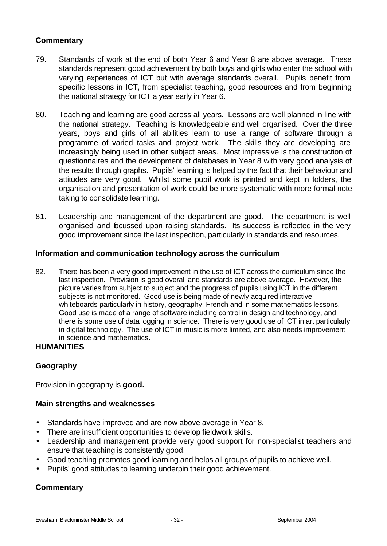## **Commentary**

- 79. Standards of work at the end of both Year 6 and Year 8 are above average. These standards represent good achievement by both boys and girls who enter the school with varying experiences of ICT but with average standards overall. Pupils benefit from specific lessons in ICT, from specialist teaching, good resources and from beginning the national strategy for ICT a year early in Year 6.
- 80. Teaching and learning are good across all years. Lessons are well planned in line with the national strategy. Teaching is knowledgeable and well organised. Over the three years, boys and girls of all abilities learn to use a range of software through a programme of varied tasks and project work. The skills they are developing are increasingly being used in other subject areas. Most impressive is the construction of questionnaires and the development of databases in Year 8 with very good analysis of the results through graphs. Pupils' learning is helped by the fact that their behaviour and attitudes are very good. Whilst some pupil work is printed and kept in folders, the organisation and presentation of work could be more systematic with more formal note taking to consolidate learning.
- 81. Leadership and management of the department are good. The department is well organised and focussed upon raising standards. Its success is reflected in the very good improvement since the last inspection, particularly in standards and resources.

#### **Information and communication technology across the curriculum**

82. There has been a very good improvement in the use of ICT across the curriculum since the last inspection. Provision is good overall and standards are above average. However, the picture varies from subject to subject and the progress of pupils using ICT in the different subjects is not monitored. Good use is being made of newly acquired interactive whiteboards particularly in history, geography, French and in some mathematics lessons. Good use is made of a range of software including control in design and technology, and there is some use of data logging in science. There is very good use of ICT in art particularly in digital technology. The use of ICT in music is more limited, and also needs improvement in science and mathematics.

#### **HUMANITIES**

## **Geography**

Provision in geography is **good.**

#### **Main strengths and weaknesses**

- Standards have improved and are now above average in Year 8.
- There are insufficient opportunities to develop fieldwork skills.
- Leadership and management provide very good support for non-specialist teachers and ensure that teaching is consistently good.
- Good teaching promotes good learning and helps all groups of pupils to achieve well.
- Pupils' good attitudes to learning underpin their good achievement.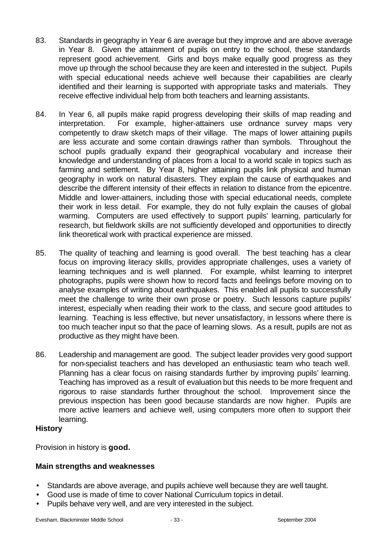- 83. Standards in geography in Year 6 are average but they improve and are above average in Year 8. Given the attainment of pupils on entry to the school, these standards represent good achievement. Girls and boys make equally good progress as they move up through the school because they are keen and interested in the subject. Pupils with special educational needs achieve well because their capabilities are clearly identified and their learning is supported with appropriate tasks and materials. They receive effective individual help from both teachers and learning assistants.
- 84. In Year 6, all pupils make rapid progress developing their skills of map reading and interpretation. For example, higher-attainers use ordnance survey maps very competently to draw sketch maps of their village. The maps of lower attaining pupils are less accurate and some contain drawings rather than symbols. Throughout the school pupils gradually expand their geographical vocabulary and increase their knowledge and understanding of places from a local to a world scale in topics such as farming and settlement. By Year 8, higher attaining pupils link physical and human geography in work on natural disasters. They explain the cause of earthquakes and describe the different intensity of their effects in relation to distance from the epicentre. Middle and lower-attainers, including those with special educational needs, complete their work in less detail. For example, they do not fully explain the causes of global warming. Computers are used effectively to support pupils' learning, particularly for research, but fieldwork skills are not sufficiently developed and opportunities to directly link theoretical work with practical experience are missed.
- 85. The quality of teaching and learning is good overall. The best teaching has a clear focus on improving literacy skills, provides appropriate challenges, uses a variety of learning techniques and is well planned. For example, whilst learning to interpret photographs, pupils were shown how to record facts and feelings before moving on to analyse examples of writing about earthquakes. This enabled all pupils to successfully meet the challenge to write their own prose or poetry. Such lessons capture pupils' interest, especially when reading their work to the class, and secure good attitudes to learning. Teaching is less effective, but never unsatisfactory, in lessons where there is too much teacher input so that the pace of learning slows. As a result, pupils are not as productive as they might have been.
- 86. Leadership and management are good. The subject leader provides very good support for non-specialist teachers and has developed an enthusiastic team who teach well. Planning has a clear focus on raising standards further by improving pupils' learning. Teaching has improved as a result of evaluation but this needs to be more frequent and rigorous to raise standards further throughout the school. Improvement since the previous inspection has been good because standards are now higher. Pupils are more active learners and achieve well, using computers more often to support their learning.

#### **History**

Provision in history is **good.**

## **Main strengths and weaknesses**

- Standards are above average, and pupils achieve well because they are well taught.
- Good use is made of time to cover National Curriculum topics in detail.
- Pupils behave very well, and are very interested in the subject.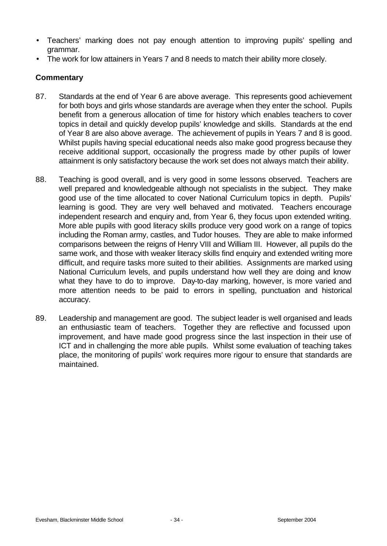- Teachers' marking does not pay enough attention to improving pupils' spelling and grammar.
- The work for low attainers in Years 7 and 8 needs to match their ability more closely.

- 87. Standards at the end of Year 6 are above average. This represents good achievement for both boys and girls whose standards are average when they enter the school. Pupils benefit from a generous allocation of time for history which enables teachers to cover topics in detail and quickly develop pupils' knowledge and skills. Standards at the end of Year 8 are also above average. The achievement of pupils in Years 7 and 8 is good. Whilst pupils having special educational needs also make good progress because they receive additional support, occasionally the progress made by other pupils of lower attainment is only satisfactory because the work set does not always match their ability.
- 88. Teaching is good overall, and is very good in some lessons observed. Teachers are well prepared and knowledgeable although not specialists in the subject. They make good use of the time allocated to cover National Curriculum topics in depth. Pupils' learning is good. They are very well behaved and motivated. Teachers encourage independent research and enquiry and, from Year 6, they focus upon extended writing. More able pupils with good literacy skills produce very good work on a range of topics including the Roman army, castles, and Tudor houses. They are able to make informed comparisons between the reigns of Henry VIII and William III. However, all pupils do the same work, and those with weaker literacy skills find enquiry and extended writing more difficult, and require tasks more suited to their abilities. Assignments are marked using National Curriculum levels, and pupils understand how well they are doing and know what they have to do to improve. Day-to-day marking, however, is more varied and more attention needs to be paid to errors in spelling, punctuation and historical accuracy.
- 89. Leadership and management are good. The subject leader is well organised and leads an enthusiastic team of teachers. Together they are reflective and focussed upon improvement, and have made good progress since the last inspection in their use of ICT and in challenging the more able pupils. Whilst some evaluation of teaching takes place, the monitoring of pupils' work requires more rigour to ensure that standards are maintained.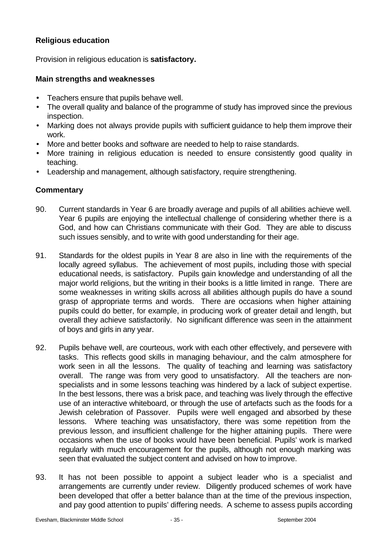## **Religious education**

Provision in religious education is **satisfactory.**

## **Main strengths and weaknesses**

- Teachers ensure that pupils behave well.
- The overall quality and balance of the programme of study has improved since the previous inspection.
- Marking does not always provide pupils with sufficient guidance to help them improve their work.
- More and better books and software are needed to help to raise standards.
- More training in religious education is needed to ensure consistently good quality in teaching.
- Leadership and management, although satisfactory, require strengthening.

- 90. Current standards in Year 6 are broadly average and pupils of all abilities achieve well. Year 6 pupils are enjoying the intellectual challenge of considering whether there is a God, and how can Christians communicate with their God. They are able to discuss such issues sensibly, and to write with good understanding for their age.
- 91. Standards for the oldest pupils in Year 8 are also in line with the requirements of the locally agreed syllabus. The achievement of most pupils, including those with special educational needs, is satisfactory. Pupils gain knowledge and understanding of all the major world religions, but the writing in their books is a little limited in range. There are some weaknesses in writing skills across all abilities although pupils do have a sound grasp of appropriate terms and words. There are occasions when higher attaining pupils could do better, for example, in producing work of greater detail and length, but overall they achieve satisfactorily. No significant difference was seen in the attainment of boys and girls in any year.
- 92. Pupils behave well, are courteous, work with each other effectively, and persevere with tasks. This reflects good skills in managing behaviour, and the calm atmosphere for work seen in all the lessons. The quality of teaching and learning was satisfactory overall. The range was from very good to unsatisfactory. All the teachers are nonspecialists and in some lessons teaching was hindered by a lack of subject expertise. In the best lessons, there was a brisk pace, and teaching was lively through the effective use of an interactive whiteboard, or through the use of artefacts such as the foods for a Jewish celebration of Passover. Pupils were well engaged and absorbed by these lessons. Where teaching was unsatisfactory, there was some repetition from the previous lesson, and insufficient challenge for the higher attaining pupils. There were occasions when the use of books would have been beneficial. Pupils' work is marked regularly with much encouragement for the pupils, although not enough marking was seen that evaluated the subject content and advised on how to improve.
- 93. It has not been possible to appoint a subject leader who is a specialist and arrangements are currently under review. Diligently produced schemes of work have been developed that offer a better balance than at the time of the previous inspection, and pay good attention to pupils' differing needs. A scheme to assess pupils according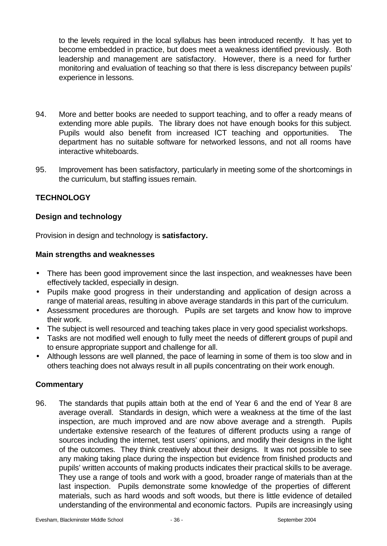to the levels required in the local syllabus has been introduced recently. It has yet to become embedded in practice, but does meet a weakness identified previously. Both leadership and management are satisfactory. However, there is a need for further monitoring and evaluation of teaching so that there is less discrepancy between pupils' experience in lessons.

- 94. More and better books are needed to support teaching, and to offer a ready means of extending more able pupils. The library does not have enough books for this subject. Pupils would also benefit from increased ICT teaching and opportunities. The department has no suitable software for networked lessons, and not all rooms have interactive whiteboards.
- 95. Improvement has been satisfactory, particularly in meeting some of the shortcomings in the curriculum, but staffing issues remain.

## **TECHNOLOGY**

## **Design and technology**

Provision in design and technology is **satisfactory.**

#### **Main strengths and weaknesses**

- There has been good improvement since the last inspection, and weaknesses have been effectively tackled, especially in design.
- Pupils make good progress in their understanding and application of design across a range of material areas, resulting in above average standards in this part of the curriculum.
- Assessment procedures are thorough. Pupils are set targets and know how to improve their work.
- The subject is well resourced and teaching takes place in very good specialist workshops.
- Tasks are not modified well enough to fully meet the needs of different groups of pupil and to ensure appropriate support and challenge for all.
- Although lessons are well planned, the pace of learning in some of them is too slow and in others teaching does not always result in all pupils concentrating on their work enough.

## **Commentary**

96. The standards that pupils attain both at the end of Year 6 and the end of Year 8 are average overall. Standards in design, which were a weakness at the time of the last inspection, are much improved and are now above average and a strength. Pupils undertake extensive research of the features of different products using a range of sources including the internet, test users' opinions, and modify their designs in the light of the outcomes. They think creatively about their designs. It was not possible to see any making taking place during the inspection but evidence from finished products and pupils' written accounts of making products indicates their practical skills to be average. They use a range of tools and work with a good, broader range of materials than at the last inspection. Pupils demonstrate some knowledge of the properties of different materials, such as hard woods and soft woods, but there is little evidence of detailed understanding of the environmental and economic factors. Pupils are increasingly using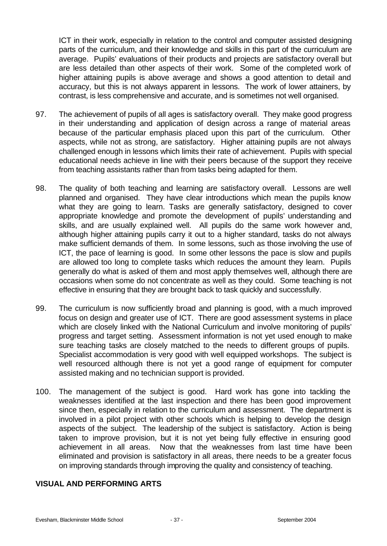ICT in their work, especially in relation to the control and computer assisted designing parts of the curriculum, and their knowledge and skills in this part of the curriculum are average. Pupils' evaluations of their products and projects are satisfactory overall but are less detailed than other aspects of their work. Some of the completed work of higher attaining pupils is above average and shows a good attention to detail and accuracy, but this is not always apparent in lessons. The work of lower attainers, by contrast, is less comprehensive and accurate, and is sometimes not well organised.

- 97. The achievement of pupils of all ages is satisfactory overall. They make good progress in their understanding and application of design across a range of material areas because of the particular emphasis placed upon this part of the curriculum. Other aspects, while not as strong, are satisfactory. Higher attaining pupils are not always challenged enough in lessons which limits their rate of achievement. Pupils with special educational needs achieve in line with their peers because of the support they receive from teaching assistants rather than from tasks being adapted for them.
- 98. The quality of both teaching and learning are satisfactory overall. Lessons are well planned and organised. They have clear introductions which mean the pupils know what they are going to learn. Tasks are generally satisfactory, designed to cover appropriate knowledge and promote the development of pupils' understanding and skills, and are usually explained well. All pupils do the same work however and, although higher attaining pupils carry it out to a higher standard, tasks do not always make sufficient demands of them. In some lessons, such as those involving the use of ICT, the pace of learning is good. In some other lessons the pace is slow and pupils are allowed too long to complete tasks which reduces the amount they learn. Pupils generally do what is asked of them and most apply themselves well, although there are occasions when some do not concentrate as well as they could. Some teaching is not effective in ensuring that they are brought back to task quickly and successfully.
- 99. The curriculum is now sufficiently broad and planning is good, with a much improved focus on design and greater use of ICT. There are good assessment systems in place which are closely linked with the National Curriculum and involve monitoring of pupils' progress and target setting. Assessment information is not yet used enough to make sure teaching tasks are closely matched to the needs to different groups of pupils. Specialist accommodation is very good with well equipped workshops. The subject is well resourced although there is not yet a good range of equipment for computer assisted making and no technician support is provided.
- 100. The management of the subject is good. Hard work has gone into tackling the weaknesses identified at the last inspection and there has been good improvement since then, especially in relation to the curriculum and assessment. The department is involved in a pilot project with other schools which is helping to develop the design aspects of the subject. The leadership of the subject is satisfactory. Action is being taken to improve provision, but it is not yet being fully effective in ensuring good achievement in all areas. Now that the weaknesses from last time have been eliminated and provision is satisfactory in all areas, there needs to be a greater focus on improving standards through improving the quality and consistency of teaching.

## **VISUAL AND PERFORMING ARTS**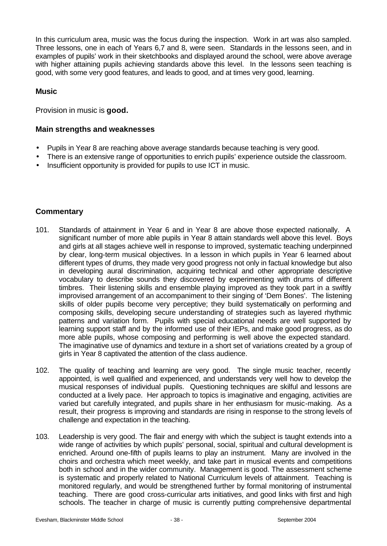In this curriculum area, music was the focus during the inspection. Work in art was also sampled. Three lessons, one in each of Years 6,7 and 8, were seen. Standards in the lessons seen, and in examples of pupils' work in their sketchbooks and displayed around the school, were above average with higher attaining pupils achieving standards above this level. In the lessons seen teaching is good, with some very good features, and leads to good, and at times very good, learning.

#### **Music**

Provision in music is **good.**

#### **Main strengths and weaknesses**

- Pupils in Year 8 are reaching above average standards because teaching is very good.
- There is an extensive range of opportunities to enrich pupils' experience outside the classroom.
- Insufficient opportunity is provided for pupils to use ICT in music.

- 101. Standards of attainment in Year 6 and in Year 8 are above those expected nationally. A significant number of more able pupils in Year 8 attain standards well above this level. Boys and girls at all stages achieve well in response to improved, systematic teaching underpinned by clear, long-term musical objectives. In a lesson in which pupils in Year 6 learned about different types of drums, they made very good progress not only in factual knowledge but also in developing aural discrimination, acquiring technical and other appropriate descriptive vocabulary to describe sounds they discovered by experimenting with drums of different timbres. Their listening skills and ensemble playing improved as they took part in a swiftly improvised arrangement of an accompaniment to their singing of 'Dem Bones'. The listening skills of older pupils become very perceptive; they build systematically on performing and composing skills, developing secure understanding of strategies such as layered rhythmic patterns and variation form. Pupils with special educational needs are well supported by learning support staff and by the informed use of their IEPs, and make good progress, as do more able pupils, whose composing and performing is well above the expected standard. The imaginative use of dynamics and texture in a short set of variations created by a group of girls in Year 8 captivated the attention of the class audience.
- 102. The quality of teaching and learning are very good. The single music teacher, recently appointed, is well qualified and experienced, and understands very well how to develop the musical responses of individual pupils. Questioning techniques are skilful and lessons are conducted at a lively pace. Her approach to topics is imaginative and engaging, activities are varied but carefully integrated, and pupils share in her enthusiasm for music-making. As a result, their progress is improving and standards are rising in response to the strong levels of challenge and expectation in the teaching.
- 103. Leadership is very good. The flair and energy with which the subject is taught extends into a wide range of activities by which pupils' personal, social, spiritual and cultural development is enriched. Around one-fifth of pupils learns to play an instrument. Many are involved in the choirs and orchestra which meet weekly, and take part in musical events and competitions both in school and in the wider community. Management is good. The assessment scheme is systematic and properly related to National Curriculum levels of attainment. Teaching is monitored regularly, and would be strengthened further by formal monitoring of instrumental teaching. There are good cross-curricular arts initiatives, and good links with first and high schools. The teacher in charge of music is currently putting comprehensive departmental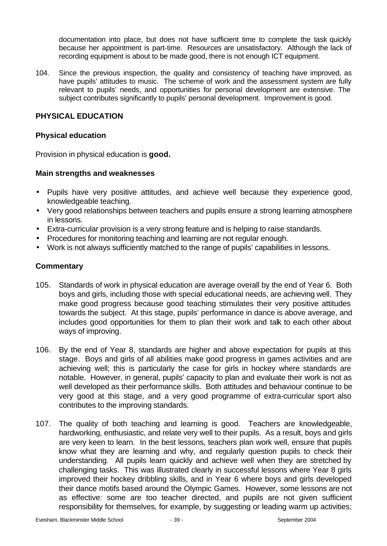documentation into place, but does not have sufficient time to complete the task quickly because her appointment is part-time. Resources are unsatisfactory. Although the lack of recording equipment is about to be made good, there is not enough ICT equipment.

104. Since the previous inspection, the quality and consistency of teaching have improved, as have pupils' attitudes to music. The scheme of work and the assessment system are fully relevant to pupils' needs, and opportunities for personal development are extensive. The subject contributes significantly to pupils' personal development. Improvement is good.

## **PHYSICAL EDUCATION**

#### **Physical education**

Provision in physical education is **good.**

#### **Main strengths and weaknesses**

- Pupils have very positive attitudes, and achieve well because they experience good, knowledgeable teaching.
- Very good relationships between teachers and pupils ensure a strong learning atmosphere in lessons.
- Extra-curricular provision is a very strong feature and is helping to raise standards.
- Procedures for monitoring teaching and learning are not regular enough.
- Work is not always sufficiently matched to the range of pupils' capabilities in lessons.

- 105. Standards of work in physical education are average overall by the end of Year 6. Both boys and girls, including those with special educational needs, are achieving well. They make good progress because good teaching stimulates their very positive attitudes towards the subject. At this stage, pupils' performance in dance is above average, and includes good opportunities for them to plan their work and talk to each other about ways of improving.
- 106. By the end of Year 8, standards are higher and above expectation for pupils at this stage. Boys and girls of all abilities make good progress in games activities and are achieving well; this is particularly the case for girls in hockey where standards are notable. However, in general, pupils' capacity to plan and evaluate their work is not as well developed as their performance skills. Both attitudes and behaviour continue to be very good at this stage, and a very good programme of extra-curricular sport also contributes to the improving standards.
- 107. The quality of both teaching and learning is good. Teachers are knowledgeable, hardworking, enthusiastic, and relate very well to their pupils. As a result, boys and girls are very keen to learn. In the best lessons, teachers plan work well, ensure that pupils know what they are learning and why, and regularly question pupils to check their understanding. All pupils learn quickly and achieve well when they are stretched by challenging tasks. This was illustrated clearly in successful lessons where Year 8 girls improved their hockey dribbling skills, and in Year 6 where boys and girls developed their dance motifs based around the Olympic Games. However, some lessons are not as effective: some are too teacher directed, and pupils are not given sufficient responsibility for themselves, for example, by suggesting or leading warm up activities;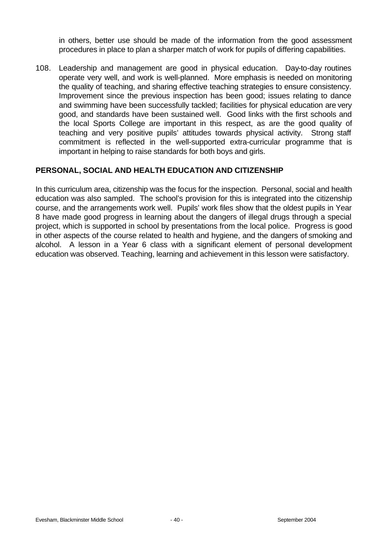in others, better use should be made of the information from the good assessment procedures in place to plan a sharper match of work for pupils of differing capabilities.

108. Leadership and management are good in physical education. Day-to-day routines operate very well, and work is well-planned. More emphasis is needed on monitoring the quality of teaching, and sharing effective teaching strategies to ensure consistency. Improvement since the previous inspection has been good; issues relating to dance and swimming have been successfully tackled; facilities for physical education are very good, and standards have been sustained well. Good links with the first schools and the local Sports College are important in this respect, as are the good quality of teaching and very positive pupils' attitudes towards physical activity. Strong staff commitment is reflected in the well-supported extra-curricular programme that is important in helping to raise standards for both boys and girls.

## **PERSONAL, SOCIAL AND HEALTH EDUCATION AND CITIZENSHIP**

In this curriculum area, citizenship was the focus for the inspection. Personal, social and health education was also sampled. The school's provision for this is integrated into the citizenship course, and the arrangements work well. Pupils' work files show that the oldest pupils in Year 8 have made good progress in learning about the dangers of illegal drugs through a special project, which is supported in school by presentations from the local police. Progress is good in other aspects of the course related to health and hygiene, and the dangers of smoking and alcohol. A lesson in a Year 6 class with a significant element of personal development education was observed. Teaching, learning and achievement in this lesson were satisfactory.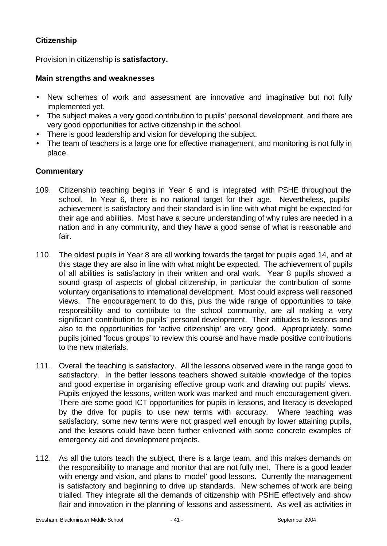## **Citizenship**

Provision in citizenship is **satisfactory.**

## **Main strengths and weaknesses**

- New schemes of work and assessment are innovative and imaginative but not fully implemented yet.
- The subject makes a very good contribution to pupils' personal development, and there are very good opportunities for active citizenship in the school.
- There is good leadership and vision for developing the subject.
- The team of teachers is a large one for effective management, and monitoring is not fully in place.

- 109. Citizenship teaching begins in Year 6 and is integrated with PSHE throughout the school. In Year 6, there is no national target for their age. Nevertheless, pupils' achievement is satisfactory and their standard is in line with what might be expected for their age and abilities. Most have a secure understanding of why rules are needed in a nation and in any community, and they have a good sense of what is reasonable and fair.
- 110. The oldest pupils in Year 8 are all working towards the target for pupils aged 14, and at this stage they are also in line with what might be expected. The achievement of pupils of all abilities is satisfactory in their written and oral work. Year 8 pupils showed a sound grasp of aspects of global citizenship, in particular the contribution of some voluntary organisations to international development. Most could express well reasoned views. The encouragement to do this, plus the wide range of opportunities to take responsibility and to contribute to the school community, are all making a very significant contribution to pupils' personal development. Their attitudes to lessons and also to the opportunities for 'active citizenship' are very good. Appropriately, some pupils joined 'focus groups' to review this course and have made positive contributions to the new materials.
- 111. Overall the teaching is satisfactory. All the lessons observed were in the range good to satisfactory. In the better lessons teachers showed suitable knowledge of the topics and good expertise in organising effective group work and drawing out pupils' views. Pupils enjoyed the lessons, written work was marked and much encouragement given. There are some good ICT opportunities for pupils in lessons, and literacy is developed by the drive for pupils to use new terms with accuracy. Where teaching was satisfactory, some new terms were not grasped well enough by lower attaining pupils, and the lessons could have been further enlivened with some concrete examples of emergency aid and development projects.
- 112. As all the tutors teach the subject, there is a large team, and this makes demands on the responsibility to manage and monitor that are not fully met. There is a good leader with energy and vision, and plans to 'model' good lessons. Currently the management is satisfactory and beginning to drive up standards. New schemes of work are being trialled. They integrate all the demands of citizenship with PSHE effectively and show flair and innovation in the planning of lessons and assessment. As well as activities in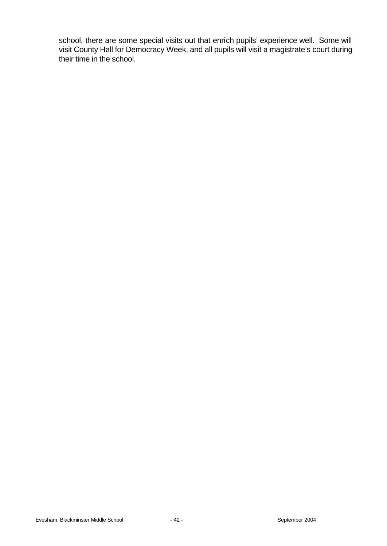school, there are some special visits out that enrich pupils' experience well. Some will visit County Hall for Democracy Week, and all pupils will visit a magistrate's court during their time in the school.